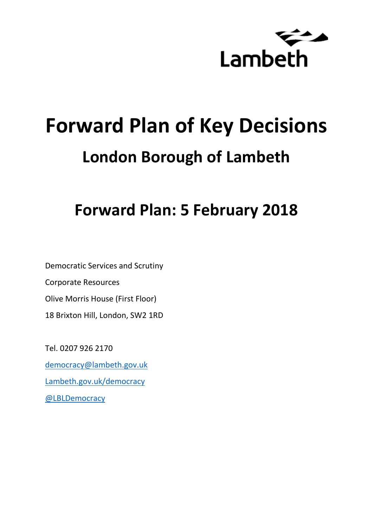

# **Forward Plan of Key Decisions London Borough of Lambeth**

# **Forward Plan: 5 February 2018**

Democratic Services and Scrutiny Corporate Resources Olive Morris House (First Floor) 18 Brixton Hill, London, SW2 1RD

Tel. 0207 926 2170 [democracy@lambeth.gov.uk](mailto:democracy@lambeth.gov.uk) [Lambeth.gov.uk/democracy](https://www.lambeth.gov.uk/elections-and-council/meetings-minutes-and-agendas/getting-involved-in-decision-making-guide) [@LBLDemocracy](https://twitter.com/LBLDemocracy?lang=en)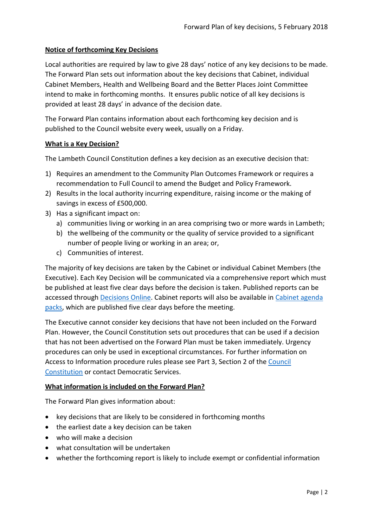#### **Notice of forthcoming Key Decisions**

Local authorities are required by law to give 28 days' notice of any key decisions to be made. The Forward Plan sets out information about the key decisions that Cabinet, individual Cabinet Members, Health and Wellbeing Board and the Better Places Joint Committee intend to make in forthcoming months. It ensures public notice of all key decisions is provided at least 28 days' in advance of the decision date.

The Forward Plan contains information about each forthcoming key decision and is published to the Council website every week, usually on a Friday.

#### **What is a Key Decision?**

The Lambeth Council Constitution defines a key decision as an executive decision that:

- 1) Requires an amendment to the Community Plan Outcomes Framework or requires a recommendation to Full Council to amend the Budget and Policy Framework.
- 2) Results in the local authority incurring expenditure, raising income or the making of savings in excess of £500,000.
- 3) Has a significant impact on:
	- a) communities living or working in an area comprising two or more wards in Lambeth;
	- b) the wellbeing of the community or the quality of service provided to a significant number of people living or working in an area; or,
	- c) Communities of interest.

The majority of key decisions are taken by the Cabinet or individual Cabinet Members (the Executive). Each Key Decision will be communicated via a comprehensive report which must be published at least five clear days before the decision is taken. Published reports can be accessed through [Decisions Online.](http://moderngov.lambeth.gov.uk/mgDelegatedDecisions.aspx?bcr=1&DM=0&DS=2&K=0&DR=&V=0) Cabinet reports will also be available in [Cabinet agenda](https://moderngov.lambeth.gov.uk/ieListMeetings.aspx?CommitteeId=225)  [packs,](https://moderngov.lambeth.gov.uk/ieListMeetings.aspx?CommitteeId=225) which are published five clear days before the meeting.

The Executive cannot consider key decisions that have not been included on the Forward Plan. However, the Council Constitution sets out procedures that can be used if a decision that has not been advertised on the Forward Plan must be taken immediately. Urgency procedures can only be used in exceptional circumstances. For further information on Access to Information procedure rules please see Part 3, Section 2 of the [Council](http://moderngov.lambeth.gov.uk/ieListMeetings.aspx?CId=738&info=1&MD=Constitution)  [Constitution](http://moderngov.lambeth.gov.uk/ieListMeetings.aspx?CId=738&info=1&MD=Constitution) or contact Democratic Services.

#### **What information is included on the Forward Plan?**

The Forward Plan gives information about:

- key decisions that are likely to be considered in forthcoming months
- the earliest date a key decision can be taken
- who will make a decision
- what consultation will be undertaken
- whether the forthcoming report is likely to include exempt or confidential information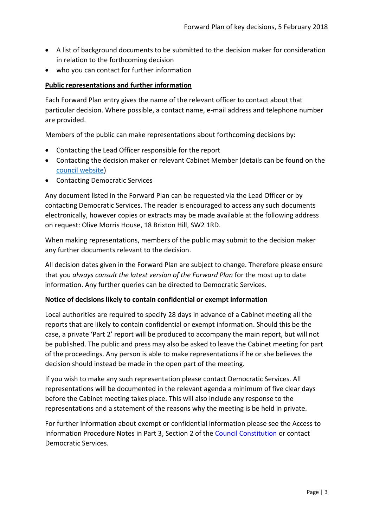- A list of background documents to be submitted to the decision maker for consideration in relation to the forthcoming decision
- who you can contact for further information

#### **Public representations and further information**

Each Forward Plan entry gives the name of the relevant officer to contact about that particular decision. Where possible, a contact name, e-mail address and telephone number are provided.

Members of the public can make representations about forthcoming decisions by:

- Contacting the Lead Officer responsible for the report
- Contacting the decision maker or relevant Cabinet Member (details can be found on the [council website\)](http://moderngov.lambeth.gov.uk/mgMemberIndex.aspx?bcr=1)
- Contacting Democratic Services

Any document listed in the Forward Plan can be requested via the Lead Officer or by contacting Democratic Services. The reader is encouraged to access any such documents electronically, however copies or extracts may be made available at the following address on request: Olive Morris House, 18 Brixton Hill, SW2 1RD.

When making representations, members of the public may submit to the decision maker any further documents relevant to the decision.

All decision dates given in the Forward Plan are subject to change. Therefore please ensure that you *always consult the latest version of the Forward Plan* for the most up to date information. Any further queries can be directed to Democratic Services.

#### **Notice of decisions likely to contain confidential or exempt information**

Local authorities are required to specify 28 days in advance of a Cabinet meeting all the reports that are likely to contain confidential or exempt information. Should this be the case, a private 'Part 2' report will be produced to accompany the main report, but will not be published. The public and press may also be asked to leave the Cabinet meeting for part of the proceedings. Any person is able to make representations if he or she believes the decision should instead be made in the open part of the meeting.

If you wish to make any such representation please contact Democratic Services. All representations will be documented in the relevant agenda a minimum of five clear days before the Cabinet meeting takes place. This will also include any response to the representations and a statement of the reasons why the meeting is be held in private.

For further information about exempt or confidential information please see the Access to Information Procedure Notes in Part 3, Section 2 of the [Council Constitution](http://www.lambeth.gov.uk/sites/default/files/ec-Council-Constitution-2014-15-approved-with-changes-November-2014.pdf) or contact Democratic Services.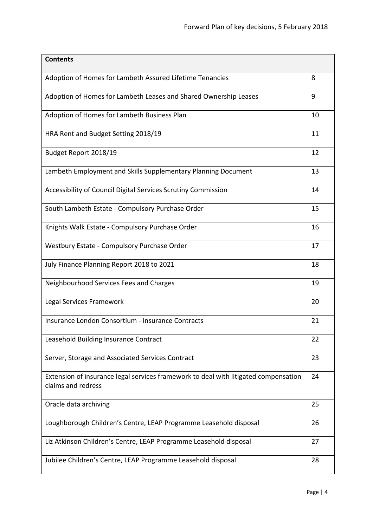| <b>Contents</b>                                                                                           |    |
|-----------------------------------------------------------------------------------------------------------|----|
| Adoption of Homes for Lambeth Assured Lifetime Tenancies                                                  | 8  |
| Adoption of Homes for Lambeth Leases and Shared Ownership Leases                                          | 9  |
| Adoption of Homes for Lambeth Business Plan                                                               | 10 |
| HRA Rent and Budget Setting 2018/19                                                                       | 11 |
| Budget Report 2018/19                                                                                     | 12 |
| Lambeth Employment and Skills Supplementary Planning Document                                             | 13 |
| Accessibility of Council Digital Services Scrutiny Commission                                             | 14 |
| South Lambeth Estate - Compulsory Purchase Order                                                          | 15 |
| Knights Walk Estate - Compulsory Purchase Order                                                           | 16 |
| Westbury Estate - Compulsory Purchase Order                                                               | 17 |
| July Finance Planning Report 2018 to 2021                                                                 | 18 |
| Neighbourhood Services Fees and Charges                                                                   | 19 |
| Legal Services Framework                                                                                  | 20 |
| Insurance London Consortium - Insurance Contracts                                                         | 21 |
| Leasehold Building Insurance Contract                                                                     | 22 |
| Server, Storage and Associated Services Contract                                                          | 23 |
| Extension of insurance legal services framework to deal with litigated compensation<br>claims and redress | 24 |
| Oracle data archiving                                                                                     | 25 |
| Loughborough Children's Centre, LEAP Programme Leasehold disposal                                         | 26 |
| Liz Atkinson Children's Centre, LEAP Programme Leasehold disposal                                         | 27 |
| Jubilee Children's Centre, LEAP Programme Leasehold disposal                                              | 28 |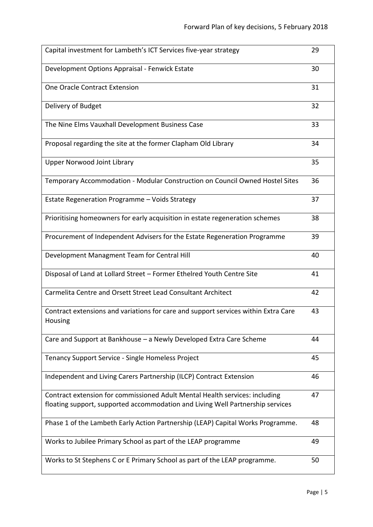| Capital investment for Lambeth's ICT Services five-year strategy                                                                                              | 29 |
|---------------------------------------------------------------------------------------------------------------------------------------------------------------|----|
| Development Options Appraisal - Fenwick Estate                                                                                                                | 30 |
| <b>One Oracle Contract Extension</b>                                                                                                                          | 31 |
| Delivery of Budget                                                                                                                                            | 32 |
| The Nine Elms Vauxhall Development Business Case                                                                                                              | 33 |
| Proposal regarding the site at the former Clapham Old Library                                                                                                 | 34 |
| Upper Norwood Joint Library                                                                                                                                   | 35 |
| Temporary Accommodation - Modular Construction on Council Owned Hostel Sites                                                                                  | 36 |
| Estate Regeneration Programme - Voids Strategy                                                                                                                | 37 |
| Prioritising homeowners for early acquisition in estate regeneration schemes                                                                                  | 38 |
| Procurement of Independent Advisers for the Estate Regeneration Programme                                                                                     | 39 |
| Development Managment Team for Central Hill                                                                                                                   | 40 |
| Disposal of Land at Lollard Street - Former Ethelred Youth Centre Site                                                                                        | 41 |
| Carmelita Centre and Orsett Street Lead Consultant Architect                                                                                                  | 42 |
| Contract extensions and variations for care and support services within Extra Care<br>Housing                                                                 | 43 |
| Care and Support at Bankhouse - a Newly Developed Extra Care Scheme                                                                                           | 44 |
| Tenancy Support Service - Single Homeless Project                                                                                                             | 45 |
| Independent and Living Carers Partnership (ILCP) Contract Extension                                                                                           | 46 |
| Contract extension for commissioned Adult Mental Health services: including<br>floating support, supported accommodation and Living Well Partnership services | 47 |
| Phase 1 of the Lambeth Early Action Partnership (LEAP) Capital Works Programme.                                                                               | 48 |
| Works to Jubilee Primary School as part of the LEAP programme                                                                                                 | 49 |
| Works to St Stephens C or E Primary School as part of the LEAP programme.                                                                                     | 50 |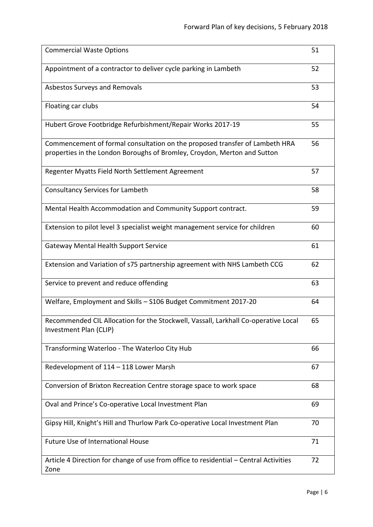| <b>Commercial Waste Options</b>                                                                                                                         | 51 |
|---------------------------------------------------------------------------------------------------------------------------------------------------------|----|
| Appointment of a contractor to deliver cycle parking in Lambeth                                                                                         | 52 |
| Asbestos Surveys and Removals                                                                                                                           | 53 |
| Floating car clubs                                                                                                                                      | 54 |
| Hubert Grove Footbridge Refurbishment/Repair Works 2017-19                                                                                              | 55 |
| Commencement of formal consultation on the proposed transfer of Lambeth HRA<br>properties in the London Boroughs of Bromley, Croydon, Merton and Sutton | 56 |
| Regenter Myatts Field North Settlement Agreement                                                                                                        | 57 |
| <b>Consultancy Services for Lambeth</b>                                                                                                                 | 58 |
| Mental Health Accommodation and Community Support contract.                                                                                             | 59 |
| Extension to pilot level 3 specialist weight management service for children                                                                            | 60 |
| <b>Gateway Mental Health Support Service</b>                                                                                                            | 61 |
| Extension and Variation of s75 partnership agreement with NHS Lambeth CCG                                                                               | 62 |
| Service to prevent and reduce offending                                                                                                                 | 63 |
| Welfare, Employment and Skills - S106 Budget Commitment 2017-20                                                                                         | 64 |
| Recommended CIL Allocation for the Stockwell, Vassall, Larkhall Co-operative Local<br>Investment Plan (CLIP)                                            | 65 |
| Transforming Waterloo - The Waterloo City Hub                                                                                                           | 66 |
| Redevelopment of 114 - 118 Lower Marsh                                                                                                                  | 67 |
| Conversion of Brixton Recreation Centre storage space to work space                                                                                     | 68 |
| Oval and Prince's Co-operative Local Investment Plan                                                                                                    | 69 |
| Gipsy Hill, Knight's Hill and Thurlow Park Co-operative Local Investment Plan                                                                           | 70 |
| Future Use of International House                                                                                                                       | 71 |
| Article 4 Direction for change of use from office to residential - Central Activities<br>Zone                                                           | 72 |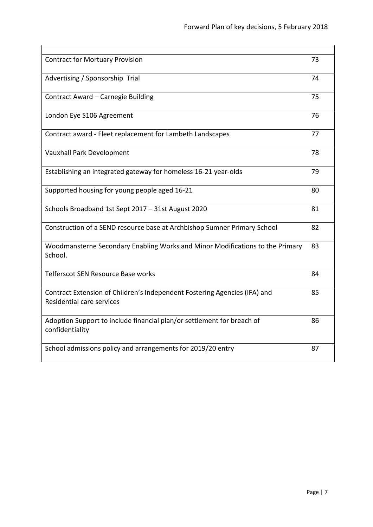| <b>Contract for Mortuary Provision</b>                                                                 | 73 |
|--------------------------------------------------------------------------------------------------------|----|
| Advertising / Sponsorship Trial                                                                        | 74 |
| Contract Award - Carnegie Building                                                                     | 75 |
| London Eye S106 Agreement                                                                              | 76 |
| Contract award - Fleet replacement for Lambeth Landscapes                                              | 77 |
| Vauxhall Park Development                                                                              | 78 |
| Establishing an integrated gateway for homeless 16-21 year-olds                                        | 79 |
| Supported housing for young people aged 16-21                                                          | 80 |
| Schools Broadband 1st Sept 2017 - 31st August 2020                                                     | 81 |
| Construction of a SEND resource base at Archbishop Sumner Primary School                               | 82 |
| Woodmansterne Secondary Enabling Works and Minor Modifications to the Primary<br>School.               | 83 |
| Telferscot SEN Resource Base works                                                                     | 84 |
| Contract Extension of Children's Independent Fostering Agencies (IFA) and<br>Residential care services | 85 |
| Adoption Support to include financial plan/or settlement for breach of<br>confidentiality              | 86 |
| School admissions policy and arrangements for 2019/20 entry                                            | 87 |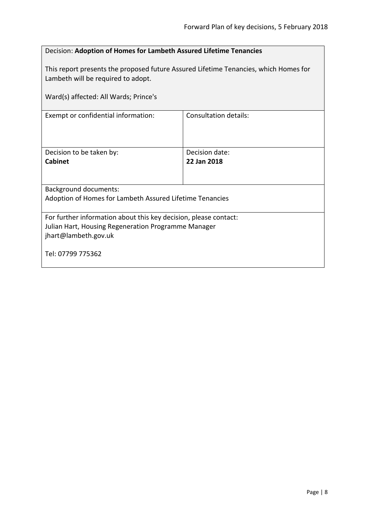<span id="page-7-0"></span>

| Decision: Adoption of Homes for Lambeth Assured Lifetime Tenancies                                                                              |                               |  |
|-------------------------------------------------------------------------------------------------------------------------------------------------|-------------------------------|--|
| This report presents the proposed future Assured Lifetime Tenancies, which Homes for<br>Lambeth will be required to adopt.                      |                               |  |
| Ward(s) affected: All Wards; Prince's                                                                                                           |                               |  |
| Exempt or confidential information:                                                                                                             | <b>Consultation details:</b>  |  |
| Decision to be taken by:<br>Cabinet                                                                                                             | Decision date:<br>22 Jan 2018 |  |
| <b>Background documents:</b>                                                                                                                    |                               |  |
| Adoption of Homes for Lambeth Assured Lifetime Tenancies                                                                                        |                               |  |
| For further information about this key decision, please contact:<br>Julian Hart, Housing Regeneration Programme Manager<br>jhart@lambeth.gov.uk |                               |  |
| Tel: 07799 775362                                                                                                                               |                               |  |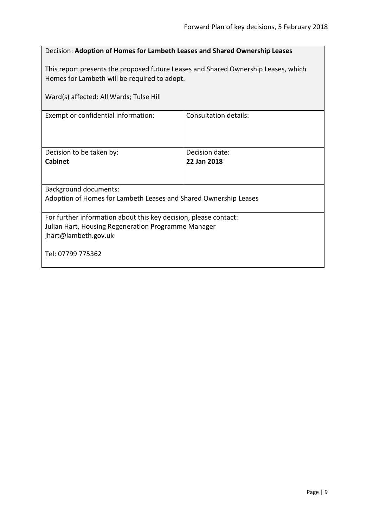<span id="page-8-0"></span>

| Decision: Adoption of Homes for Lambeth Leases and Shared Ownership Leases                                                                      |                               |  |
|-------------------------------------------------------------------------------------------------------------------------------------------------|-------------------------------|--|
| This report presents the proposed future Leases and Shared Ownership Leases, which<br>Homes for Lambeth will be required to adopt.              |                               |  |
| Ward(s) affected: All Wards; Tulse Hill                                                                                                         |                               |  |
| Exempt or confidential information:                                                                                                             | <b>Consultation details:</b>  |  |
| Decision to be taken by:<br>Cabinet                                                                                                             | Decision date:<br>22 Jan 2018 |  |
| <b>Background documents:</b>                                                                                                                    |                               |  |
| Adoption of Homes for Lambeth Leases and Shared Ownership Leases                                                                                |                               |  |
| For further information about this key decision, please contact:<br>Julian Hart, Housing Regeneration Programme Manager<br>jhart@lambeth.gov.uk |                               |  |
| Tel: 07799 775362                                                                                                                               |                               |  |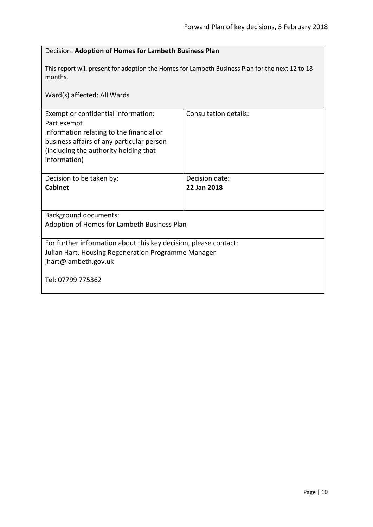<span id="page-9-0"></span>

| Decision: Adoption of Homes for Lambeth Business Plan                                                                                                                                                |                               |  |
|------------------------------------------------------------------------------------------------------------------------------------------------------------------------------------------------------|-------------------------------|--|
| This report will present for adoption the Homes for Lambeth Business Plan for the next 12 to 18<br>months.                                                                                           |                               |  |
| Ward(s) affected: All Wards                                                                                                                                                                          |                               |  |
| Exempt or confidential information:<br>Part exempt<br>Information relating to the financial or<br>business affairs of any particular person<br>(including the authority holding that<br>information) | <b>Consultation details:</b>  |  |
| Decision to be taken by:<br><b>Cabinet</b>                                                                                                                                                           | Decision date:<br>22 Jan 2018 |  |
| <b>Background documents:</b>                                                                                                                                                                         |                               |  |
| Adoption of Homes for Lambeth Business Plan                                                                                                                                                          |                               |  |
| For further information about this key decision, please contact:<br>Julian Hart, Housing Regeneration Programme Manager<br>jhart@lambeth.gov.uk<br>Tel: 07799 775362                                 |                               |  |
|                                                                                                                                                                                                      |                               |  |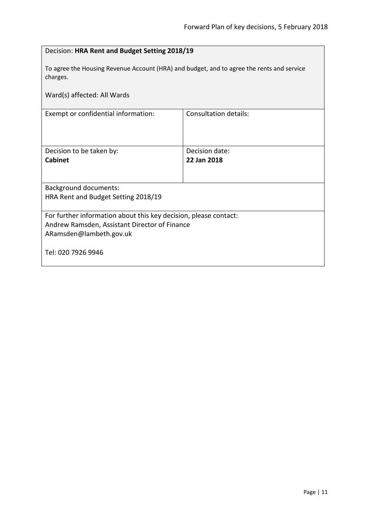<span id="page-10-0"></span>

| Decision: HRA Rent and Budget Setting 2018/19                                                         |                              |  |
|-------------------------------------------------------------------------------------------------------|------------------------------|--|
| To agree the Housing Revenue Account (HRA) and budget, and to agree the rents and service<br>charges. |                              |  |
| Ward(s) affected: All Wards                                                                           |                              |  |
| Exempt or confidential information:                                                                   | <b>Consultation details:</b> |  |
|                                                                                                       |                              |  |
| Decision to be taken by:                                                                              | Decision date:               |  |
| Cabinet                                                                                               | 22 Jan 2018                  |  |
|                                                                                                       |                              |  |
| <b>Background documents:</b>                                                                          |                              |  |
| HRA Rent and Budget Setting 2018/19                                                                   |                              |  |
| For further information about this key decision, please contact:                                      |                              |  |
| Andrew Ramsden, Assistant Director of Finance                                                         |                              |  |
| ARamsden@lambeth.gov.uk                                                                               |                              |  |
| Tel: 020 7926 9946                                                                                    |                              |  |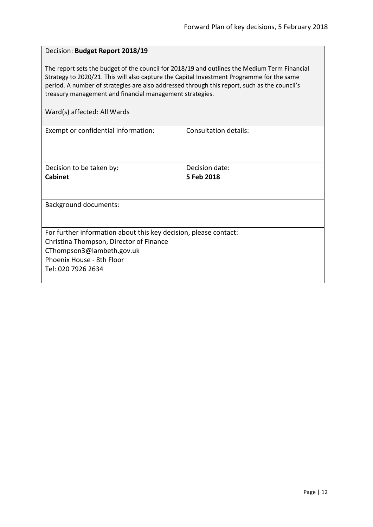#### <span id="page-11-0"></span>Decision: **Budget Report 2018/19**

The report sets the budget of the council for 2018/19 and outlines the Medium Term Financial Strategy to 2020/21. This will also capture the Capital Investment Programme for the same period. A number of strategies are also addressed through this report, such as the council's treasury management and financial management strategies.

| Consultation details:                                            |  |  |
|------------------------------------------------------------------|--|--|
|                                                                  |  |  |
|                                                                  |  |  |
|                                                                  |  |  |
| Decision date:                                                   |  |  |
| 5 Feb 2018                                                       |  |  |
|                                                                  |  |  |
|                                                                  |  |  |
| <b>Background documents:</b>                                     |  |  |
|                                                                  |  |  |
|                                                                  |  |  |
| For further information about this key decision, please contact: |  |  |
| Christina Thompson, Director of Finance                          |  |  |
| CThompson3@lambeth.gov.uk                                        |  |  |
|                                                                  |  |  |
|                                                                  |  |  |
|                                                                  |  |  |
|                                                                  |  |  |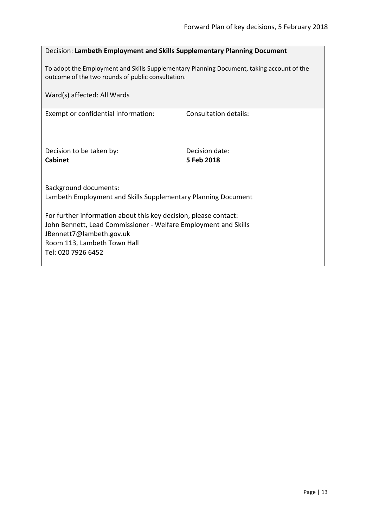#### <span id="page-12-0"></span>Decision: **Lambeth Employment and Skills Supplementary Planning Document**

To adopt the Employment and Skills Supplementary Planning Document, taking account of the outcome of the two rounds of public consultation.

| Ward(s) affected: All Wards                                      |                       |  |
|------------------------------------------------------------------|-----------------------|--|
| Exempt or confidential information:                              | Consultation details: |  |
|                                                                  |                       |  |
| Decision to be taken by:                                         | Decision date:        |  |
| <b>Cabinet</b>                                                   | 5 Feb 2018            |  |
|                                                                  |                       |  |
| Background documents:                                            |                       |  |
| Lambeth Employment and Skills Supplementary Planning Document    |                       |  |
|                                                                  |                       |  |
| For further information about this key decision, please contact: |                       |  |
| John Bennett, Lead Commissioner - Welfare Employment and Skills  |                       |  |
| JBennett7@lambeth.gov.uk                                         |                       |  |
| Room 113, Lambeth Town Hall                                      |                       |  |
| Tel: 020 7926 6452                                               |                       |  |
|                                                                  |                       |  |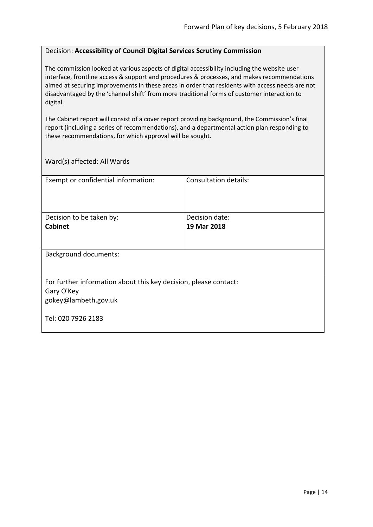#### <span id="page-13-0"></span>Decision: **Accessibility of Council Digital Services Scrutiny Commission**

The commission looked at various aspects of digital accessibility including the website user interface, frontline access & support and procedures & processes, and makes recommendations aimed at securing improvements in these areas in order that residents with access needs are not disadvantaged by the 'channel shift' from more traditional forms of customer interaction to digital.

The Cabinet report will consist of a cover report providing background, the Commission's final report (including a series of recommendations), and a departmental action plan responding to these recommendations, for which approval will be sought.

| Exempt or confidential information:                              | Consultation details: |  |
|------------------------------------------------------------------|-----------------------|--|
|                                                                  |                       |  |
|                                                                  |                       |  |
|                                                                  |                       |  |
| Decision to be taken by:                                         | Decision date:        |  |
| <b>Cabinet</b>                                                   | 19 Mar 2018           |  |
|                                                                  |                       |  |
|                                                                  |                       |  |
| <b>Background documents:</b>                                     |                       |  |
|                                                                  |                       |  |
|                                                                  |                       |  |
| For further information about this key decision, please contact: |                       |  |
| Gary O'Key                                                       |                       |  |
| gokey@lambeth.gov.uk                                             |                       |  |
|                                                                  |                       |  |
| Tel: 020 7926 2183                                               |                       |  |
|                                                                  |                       |  |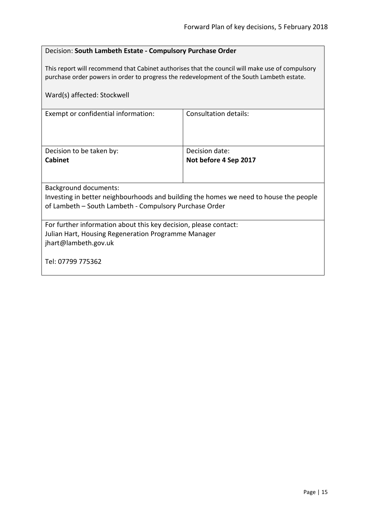#### <span id="page-14-0"></span>Decision: **South Lambeth Estate - Compulsory Purchase Order**

This report will recommend that Cabinet authorises that the council will make use of compulsory purchase order powers in order to progress the redevelopment of the South Lambeth estate.

| Ward(s) affected: Stockwell                                                                                                                                              |                       |  |
|--------------------------------------------------------------------------------------------------------------------------------------------------------------------------|-----------------------|--|
| Exempt or confidential information:                                                                                                                                      | Consultation details: |  |
| Decision to be taken by:                                                                                                                                                 | Decision date:        |  |
| <b>Cabinet</b>                                                                                                                                                           | Not before 4 Sep 2017 |  |
| Background documents:<br>Investing in better neighbourhoods and building the homes we need to house the people<br>of Lambeth - South Lambeth - Compulsory Purchase Order |                       |  |
| For further information about this key decision, please contact:<br>Julian Hart, Housing Regeneration Programme Manager<br>jhart@lambeth.gov.uk<br>Tel: 07799 775362     |                       |  |
|                                                                                                                                                                          |                       |  |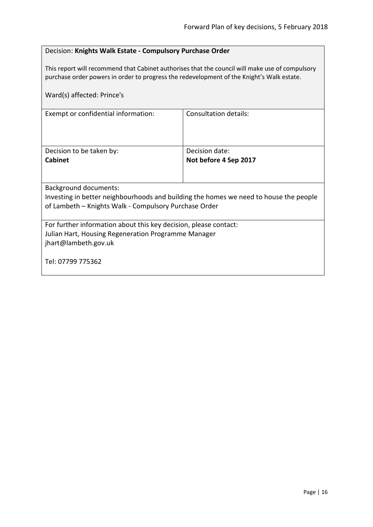#### <span id="page-15-0"></span>Decision: **Knights Walk Estate - Compulsory Purchase Order**

This report will recommend that Cabinet authorises that the council will make use of compulsory purchase order powers in order to progress the redevelopment of the Knight's Walk estate.

| Ward(s) affected: Prince's                                                                                                                                                     |                              |
|--------------------------------------------------------------------------------------------------------------------------------------------------------------------------------|------------------------------|
| Exempt or confidential information:                                                                                                                                            | <b>Consultation details:</b> |
| Decision to be taken by:                                                                                                                                                       | Decision date:               |
| <b>Cabinet</b>                                                                                                                                                                 | Not before 4 Sep 2017        |
| <b>Background documents:</b><br>Investing in better neighbourhoods and building the homes we need to house the people<br>of Lambeth - Knights Walk - Compulsory Purchase Order |                              |
| For further information about this key decision, please contact:<br>Julian Hart, Housing Regeneration Programme Manager<br>jhart@lambeth.gov.uk<br>Tel: 07799 775362           |                              |
|                                                                                                                                                                                |                              |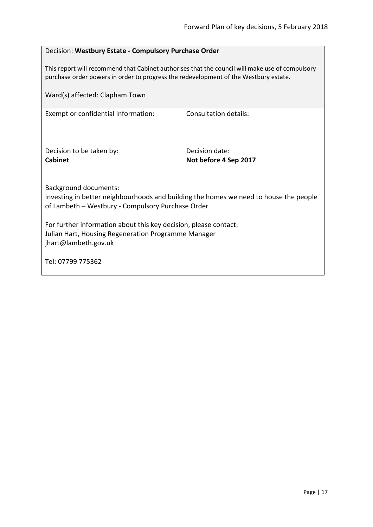#### <span id="page-16-0"></span>Decision: **Westbury Estate - Compulsory Purchase Order**

This report will recommend that Cabinet authorises that the council will make use of compulsory purchase order powers in order to progress the redevelopment of the Westbury estate.

| Ward(s) affected: Clapham Town                                                        |                              |  |
|---------------------------------------------------------------------------------------|------------------------------|--|
| Exempt or confidential information:                                                   | <b>Consultation details:</b> |  |
| Decision to be taken by:                                                              | Decision date:               |  |
| <b>Cabinet</b>                                                                        | Not before 4 Sep 2017        |  |
|                                                                                       |                              |  |
| <b>Background documents:</b>                                                          |                              |  |
| Investing in better neighbourhoods and building the homes we need to house the people |                              |  |
| of Lambeth - Westbury - Compulsory Purchase Order                                     |                              |  |
| For further information about this key decision, please contact:                      |                              |  |
| Julian Hart, Housing Regeneration Programme Manager                                   |                              |  |
| jhart@lambeth.gov.uk                                                                  |                              |  |
| Tel: 07799 775362                                                                     |                              |  |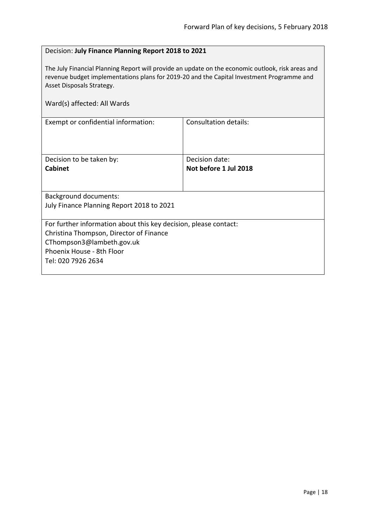#### <span id="page-17-0"></span>Decision: **July Finance Planning Report 2018 to 2021**

The July Financial Planning Report will provide an update on the economic outlook, risk areas and revenue budget implementations plans for 2019-20 and the Capital Investment Programme and Asset Disposals Strategy.

| Ward(s) affected: All Wards                                                                                                                                                                 |                                         |
|---------------------------------------------------------------------------------------------------------------------------------------------------------------------------------------------|-----------------------------------------|
| Exempt or confidential information:                                                                                                                                                         | <b>Consultation details:</b>            |
| Decision to be taken by:<br><b>Cabinet</b>                                                                                                                                                  | Decision date:<br>Not before 1 Jul 2018 |
| <b>Background documents:</b><br>July Finance Planning Report 2018 to 2021                                                                                                                   |                                         |
| For further information about this key decision, please contact:<br>Christina Thompson, Director of Finance<br>CThompson3@lambeth.gov.uk<br>Phoenix House - 8th Floor<br>Tel: 020 7926 2634 |                                         |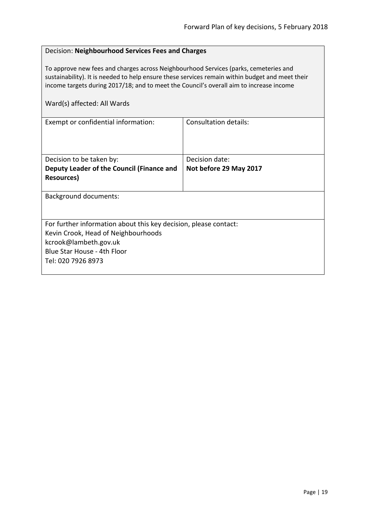#### <span id="page-18-0"></span>Decision: **Neighbourhood Services Fees and Charges**

To approve new fees and charges across Neighbourhood Services (parks, cemeteries and sustainability). It is needed to help ensure these services remain within budget and meet their income targets during 2017/18; and to meet the Council's overall aim to increase income

| Exempt or confidential information:                              | Consultation details:  |
|------------------------------------------------------------------|------------------------|
|                                                                  |                        |
|                                                                  |                        |
|                                                                  |                        |
| Decision to be taken by:                                         | Decision date:         |
| Deputy Leader of the Council (Finance and                        | Not before 29 May 2017 |
| Resources)                                                       |                        |
|                                                                  |                        |
| <b>Background documents:</b>                                     |                        |
|                                                                  |                        |
|                                                                  |                        |
| For further information about this key decision, please contact: |                        |
| Kevin Crook, Head of Neighbourhoods                              |                        |
| kcrook@lambeth.gov.uk                                            |                        |
| Blue Star House - 4th Floor                                      |                        |
| Tel: 020 7926 8973                                               |                        |
|                                                                  |                        |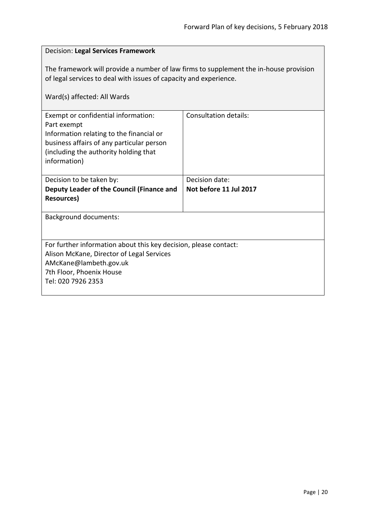# <span id="page-19-0"></span>Decision: **Legal Services Framework** The framework will provide a number of law firms to supplement the in-house provision of legal services to deal with issues of capacity and experience. Ward(s) affected: All Wards Exempt or confidential information: Part exempt Information relating to the financial or business affairs of any particular person (including the authority holding that information) Consultation details: Decision to be taken by: **Deputy Leader of the Council (Finance and Resources)** Decision date: **Not before 11 Jul 2017** Background documents: For further information about this key decision, please contact: Alison McKane, Director of Legal Services AMcKane@lambeth.gov.uk 7th Floor, Phoenix House Tel: 020 7926 2353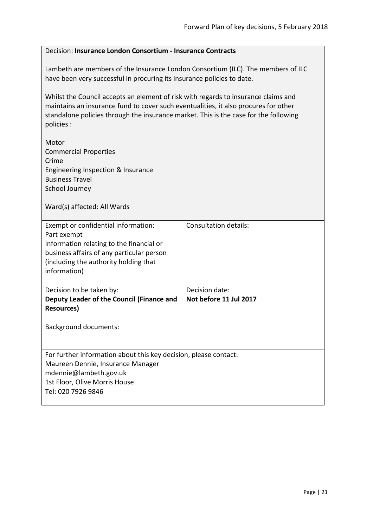# <span id="page-20-0"></span>Decision: **Insurance London Consortium - Insurance Contracts** Lambeth are members of the Insurance London Consortium (ILC). The members of ILC have been very successful in procuring its insurance policies to date. Whilst the Council accepts an element of risk with regards to insurance claims and maintains an insurance fund to cover such eventualities, it also procures for other standalone policies through the insurance market. This is the case for the following policies : Motor Commercial Properties Crime Engineering Inspection & Insurance Business Travel School Journey Ward(s) affected: All Wards Exempt or confidential information: Part exempt Information relating to the financial or business affairs of any particular person (including the authority holding that information) Consultation details: Decision to be taken by: **Deputy Leader of the Council (Finance and Resources)** Decision date: **Not before 11 Jul 2017** Background documents: For further information about this key decision, please contact: Maureen Dennie, Insurance Manager mdennie@lambeth.gov.uk 1st Floor, Olive Morris House Tel: 020 7926 9846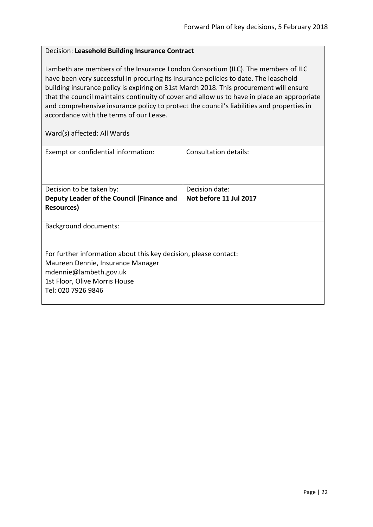#### <span id="page-21-0"></span>Decision: **Leasehold Building Insurance Contract**

Lambeth are members of the Insurance London Consortium (ILC). The members of ILC have been very successful in procuring its insurance policies to date. The leasehold building insurance policy is expiring on 31st March 2018. This procurement will ensure that the council maintains continuity of cover and allow us to have in place an appropriate and comprehensive insurance policy to protect the council's liabilities and properties in accordance with the terms of our Lease.

| Exempt or confidential information:                              | Consultation details:  |
|------------------------------------------------------------------|------------------------|
|                                                                  |                        |
|                                                                  |                        |
| Decision to be taken by:                                         | Decision date:         |
| Deputy Leader of the Council (Finance and                        | Not before 11 Jul 2017 |
| Resources)                                                       |                        |
|                                                                  |                        |
| <b>Background documents:</b>                                     |                        |
|                                                                  |                        |
|                                                                  |                        |
| For further information about this key decision, please contact: |                        |
| Maureen Dennie, Insurance Manager                                |                        |
| mdennie@lambeth.gov.uk                                           |                        |
| 1st Floor, Olive Morris House                                    |                        |
| Tel: 020 7926 9846                                               |                        |
|                                                                  |                        |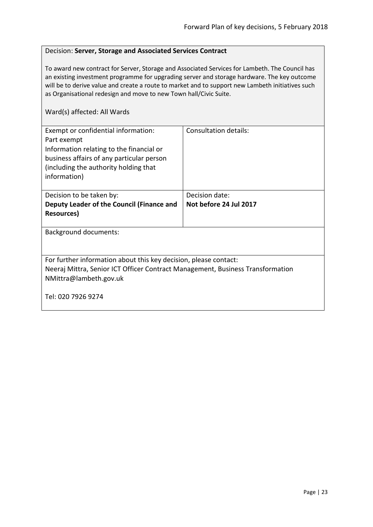#### <span id="page-22-0"></span>Decision: **Server, Storage and Associated Services Contract**

To award new contract for Server, Storage and Associated Services for Lambeth. The Council has an existing investment programme for upgrading server and storage hardware. The key outcome will be to derive value and create a route to market and to support new Lambeth initiatives such as Organisational redesign and move to new Town hall/Civic Suite.

| Exempt or confidential information:<br>Part exempt<br>Information relating to the financial or<br>business affairs of any particular person<br>(including the authority holding that)<br>information) | Consultation details:  |
|-------------------------------------------------------------------------------------------------------------------------------------------------------------------------------------------------------|------------------------|
| Decision to be taken by:                                                                                                                                                                              | Decision date:         |
| Deputy Leader of the Council (Finance and                                                                                                                                                             | Not before 24 Jul 2017 |
| <b>Resources</b> )                                                                                                                                                                                    |                        |
| <b>Background documents:</b>                                                                                                                                                                          |                        |
| For further information about this key decision, please contact:<br>Neeraj Mittra, Senior ICT Officer Contract Management, Business Transformation<br>NMittra@lambeth.gov.uk                          |                        |
| Tel: 020 7926 9274                                                                                                                                                                                    |                        |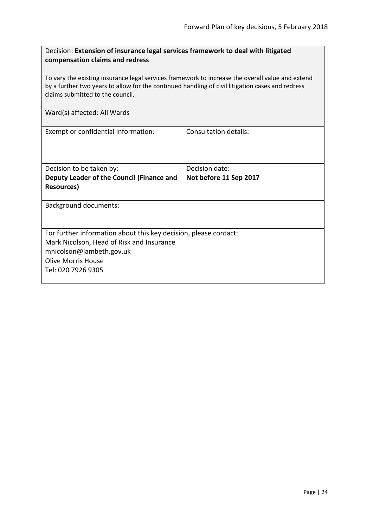<span id="page-23-0"></span>

| Decision: Extension of insurance legal services framework to deal with litigated |  |
|----------------------------------------------------------------------------------|--|
| compensation claims and redress                                                  |  |

To vary the existing insurance legal services framework to increase the overall value and extend by a further two years to allow for the continued handling of civil litigation cases and redress claims submitted to the council.

| Exempt or confidential information:                              | Consultation details:  |  |
|------------------------------------------------------------------|------------------------|--|
|                                                                  |                        |  |
|                                                                  |                        |  |
| Decision to be taken by:                                         | Decision date:         |  |
|                                                                  |                        |  |
| Deputy Leader of the Council (Finance and                        | Not before 11 Sep 2017 |  |
| Resources)                                                       |                        |  |
|                                                                  |                        |  |
| <b>Background documents:</b>                                     |                        |  |
|                                                                  |                        |  |
|                                                                  |                        |  |
| For further information about this key decision, please contact: |                        |  |
| Mark Nicolson, Head of Risk and Insurance                        |                        |  |
| mnicolson@lambeth.gov.uk                                         |                        |  |
| <b>Olive Morris House</b>                                        |                        |  |
| Tel: 020 7926 9305                                               |                        |  |
|                                                                  |                        |  |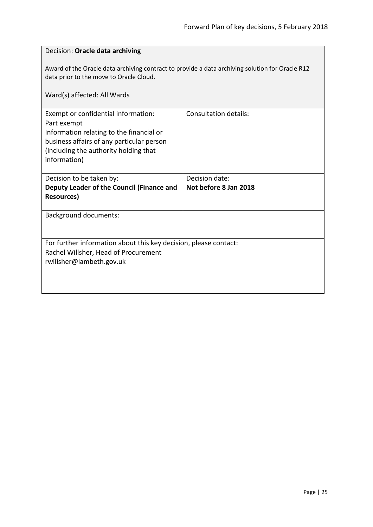<span id="page-24-0"></span>

| Decision: Oracle data archiving                                                                                                                                                                      |                              |  |
|------------------------------------------------------------------------------------------------------------------------------------------------------------------------------------------------------|------------------------------|--|
| Award of the Oracle data archiving contract to provide a data archiving solution for Oracle R12<br>data prior to the move to Oracle Cloud.                                                           |                              |  |
| Ward(s) affected: All Wards                                                                                                                                                                          |                              |  |
| Exempt or confidential information:<br>Part exempt<br>Information relating to the financial or<br>business affairs of any particular person<br>(including the authority holding that<br>information) | <b>Consultation details:</b> |  |
| Decision to be taken by:                                                                                                                                                                             | Decision date:               |  |
| Deputy Leader of the Council (Finance and<br><b>Resources</b> )                                                                                                                                      | Not before 8 Jan 2018        |  |
| <b>Background documents:</b>                                                                                                                                                                         |                              |  |
| For further information about this key decision, please contact:<br>Rachel Willsher, Head of Procurement<br>rwillsher@lambeth.gov.uk                                                                 |                              |  |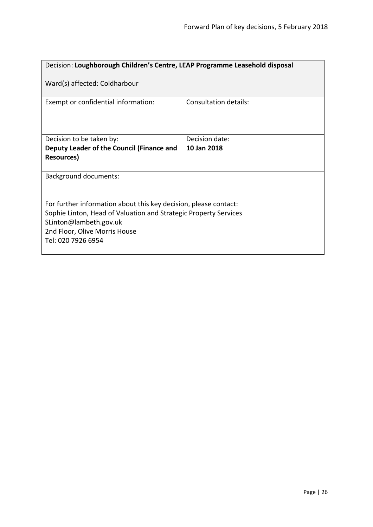<span id="page-25-0"></span>

| Decision: Loughborough Children's Centre, LEAP Programme Leasehold disposal                                                                                                                                           |                       |
|-----------------------------------------------------------------------------------------------------------------------------------------------------------------------------------------------------------------------|-----------------------|
| Ward(s) affected: Coldharbour                                                                                                                                                                                         |                       |
| Exempt or confidential information:                                                                                                                                                                                   | Consultation details: |
| Decision to be taken by:                                                                                                                                                                                              | Decision date:        |
| Deputy Leader of the Council (Finance and<br><b>Resources)</b>                                                                                                                                                        | 10 Jan 2018           |
| <b>Background documents:</b>                                                                                                                                                                                          |                       |
| For further information about this key decision, please contact:<br>Sophie Linton, Head of Valuation and Strategic Property Services<br>SLinton@lambeth.gov.uk<br>2nd Floor, Olive Morris House<br>Tel: 020 7926 6954 |                       |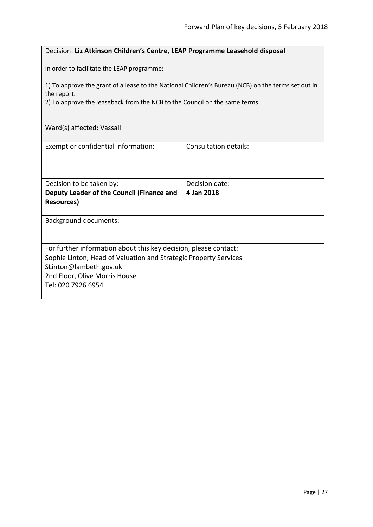#### <span id="page-26-0"></span>Decision: **Liz Atkinson Children's Centre, LEAP Programme Leasehold disposal**

In order to facilitate the LEAP programme:

1) To approve the grant of a lease to the National Children's Bureau (NCB) on the terms set out in the report.

2) To approve the leaseback from the NCB to the Council on the same terms

### Ward(s) affected: Vassall

| Exempt or confidential information:                              | Consultation details: |  |
|------------------------------------------------------------------|-----------------------|--|
|                                                                  |                       |  |
|                                                                  |                       |  |
| Decision to be taken by:                                         | Decision date:        |  |
| Deputy Leader of the Council (Finance and                        | 4 Jan 2018            |  |
| Resources)                                                       |                       |  |
|                                                                  |                       |  |
| <b>Background documents:</b>                                     |                       |  |
|                                                                  |                       |  |
| For further information about this key decision, please contact: |                       |  |
| Sophie Linton, Head of Valuation and Strategic Property Services |                       |  |
| SLinton@lambeth.gov.uk                                           |                       |  |
| 2nd Floor, Olive Morris House                                    |                       |  |
| Tel: 020 7926 6954                                               |                       |  |
|                                                                  |                       |  |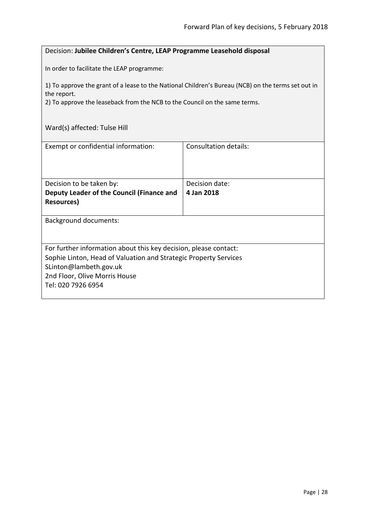#### <span id="page-27-0"></span>Decision: **Jubilee Children's Centre, LEAP Programme Leasehold disposal**

In order to facilitate the LEAP programme:

1) To approve the grant of a lease to the National Children's Bureau (NCB) on the terms set out in the report.

2) To approve the leaseback from the NCB to the Council on the same terms.

|  | Ward(s) affected: Tulse Hill |
|--|------------------------------|
|--|------------------------------|

| Exempt or confidential information:                              | Consultation details: |
|------------------------------------------------------------------|-----------------------|
| Decision to be taken by:                                         | Decision date:        |
| Deputy Leader of the Council (Finance and                        | 4 Jan 2018            |
| Resources)                                                       |                       |
| <b>Background documents:</b>                                     |                       |
| For further information about this key decision, please contact: |                       |
| Sophie Linton, Head of Valuation and Strategic Property Services |                       |
| SLinton@lambeth.gov.uk                                           |                       |
| 2nd Floor, Olive Morris House                                    |                       |
| Tel: 020 7926 6954                                               |                       |
|                                                                  |                       |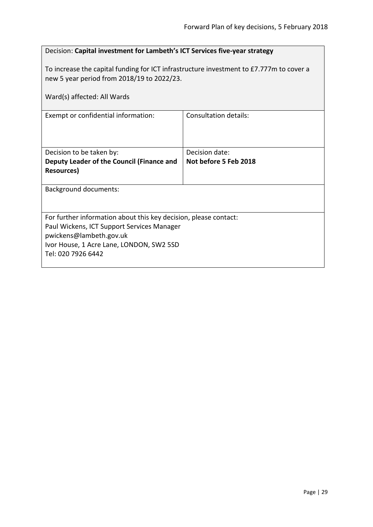<span id="page-28-0"></span>

| Decision: Capital investment for Lambeth's ICT Services five-year strategy                                                                                                                                  |                              |
|-------------------------------------------------------------------------------------------------------------------------------------------------------------------------------------------------------------|------------------------------|
| To increase the capital funding for ICT infrastructure investment to £7.777m to cover a<br>new 5 year period from 2018/19 to 2022/23.<br>Ward(s) affected: All Wards                                        |                              |
| Exempt or confidential information:                                                                                                                                                                         | <b>Consultation details:</b> |
|                                                                                                                                                                                                             |                              |
| Decision to be taken by:                                                                                                                                                                                    | Decision date:               |
| Deputy Leader of the Council (Finance and<br><b>Resources)</b>                                                                                                                                              | Not before 5 Feb 2018        |
| <b>Background documents:</b>                                                                                                                                                                                |                              |
| For further information about this key decision, please contact:<br>Paul Wickens, ICT Support Services Manager<br>pwickens@lambeth.gov.uk<br>Ivor House, 1 Acre Lane, LONDON, SW2 5SD<br>Tel: 020 7926 6442 |                              |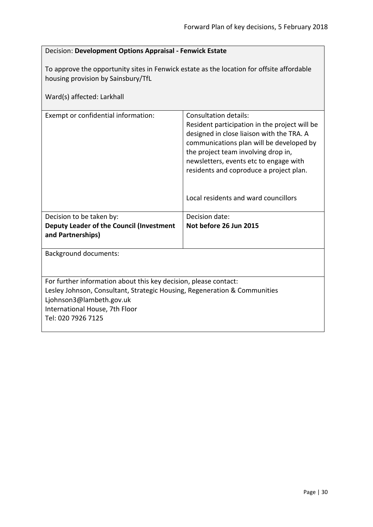<span id="page-29-0"></span>

| Decision: Development Options Appraisal - Fenwick Estate                                                                                                                                                                          |                                                                                                                                                                                                                                                                                                                                            |
|-----------------------------------------------------------------------------------------------------------------------------------------------------------------------------------------------------------------------------------|--------------------------------------------------------------------------------------------------------------------------------------------------------------------------------------------------------------------------------------------------------------------------------------------------------------------------------------------|
| To approve the opportunity sites in Fenwick estate as the location for offsite affordable<br>housing provision by Sainsbury/TfL<br>Ward(s) affected: Larkhall                                                                     |                                                                                                                                                                                                                                                                                                                                            |
| Exempt or confidential information:                                                                                                                                                                                               | <b>Consultation details:</b><br>Resident participation in the project will be<br>designed in close liaison with the TRA. A<br>communications plan will be developed by<br>the project team involving drop in,<br>newsletters, events etc to engage with<br>residents and coproduce a project plan.<br>Local residents and ward councillors |
| Decision to be taken by:<br><b>Deputy Leader of the Council (Investment</b><br>and Partnerships)                                                                                                                                  | Decision date:<br>Not before 26 Jun 2015                                                                                                                                                                                                                                                                                                   |
| <b>Background documents:</b>                                                                                                                                                                                                      |                                                                                                                                                                                                                                                                                                                                            |
| For further information about this key decision, please contact:<br>Lesley Johnson, Consultant, Strategic Housing, Regeneration & Communities<br>Ljohnson3@lambeth.gov.uk<br>International House, 7th Floor<br>Tel: 020 7926 7125 |                                                                                                                                                                                                                                                                                                                                            |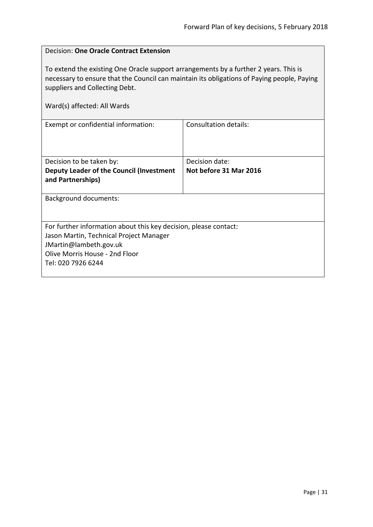<span id="page-30-0"></span>

| Decision: One Oracle Contract Extension                                                                                                                                                                                                             |                              |
|-----------------------------------------------------------------------------------------------------------------------------------------------------------------------------------------------------------------------------------------------------|------------------------------|
| To extend the existing One Oracle support arrangements by a further 2 years. This is<br>necessary to ensure that the Council can maintain its obligations of Paying people, Paying<br>suppliers and Collecting Debt.<br>Ward(s) affected: All Wards |                              |
| Exempt or confidential information:                                                                                                                                                                                                                 | <b>Consultation details:</b> |
|                                                                                                                                                                                                                                                     |                              |
| Decision to be taken by:                                                                                                                                                                                                                            | Decision date:               |
| Deputy Leader of the Council (Investment<br>and Partnerships)                                                                                                                                                                                       | Not before 31 Mar 2016       |
| <b>Background documents:</b>                                                                                                                                                                                                                        |                              |
|                                                                                                                                                                                                                                                     |                              |
| For further information about this key decision, please contact:                                                                                                                                                                                    |                              |
| Jason Martin, Technical Project Manager                                                                                                                                                                                                             |                              |
| JMartin@lambeth.gov.uk                                                                                                                                                                                                                              |                              |
| Olive Morris House - 2nd Floor                                                                                                                                                                                                                      |                              |
| Tel: 020 7926 6244                                                                                                                                                                                                                                  |                              |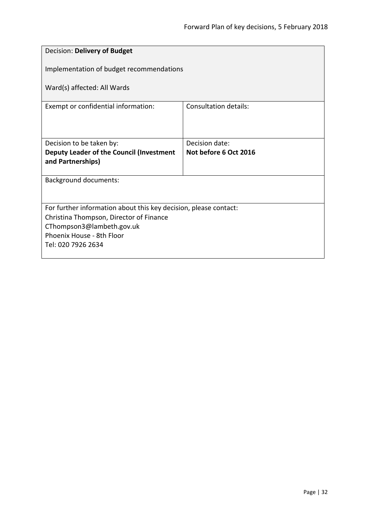<span id="page-31-0"></span>

| Decision: Delivery of Budget                                     |                       |
|------------------------------------------------------------------|-----------------------|
| Implementation of budget recommendations                         |                       |
| Ward(s) affected: All Wards                                      |                       |
| Exempt or confidential information:                              | Consultation details: |
|                                                                  |                       |
| Decision to be taken by:                                         | Decision date:        |
| Deputy Leader of the Council (Investment<br>and Partnerships)    | Not before 6 Oct 2016 |
|                                                                  |                       |
| <b>Background documents:</b>                                     |                       |
|                                                                  |                       |
| For further information about this key decision, please contact: |                       |
| Christina Thompson, Director of Finance                          |                       |
| CThompson3@lambeth.gov.uk                                        |                       |
| Phoenix House - 8th Floor<br>Tel: 020 7926 2634                  |                       |
|                                                                  |                       |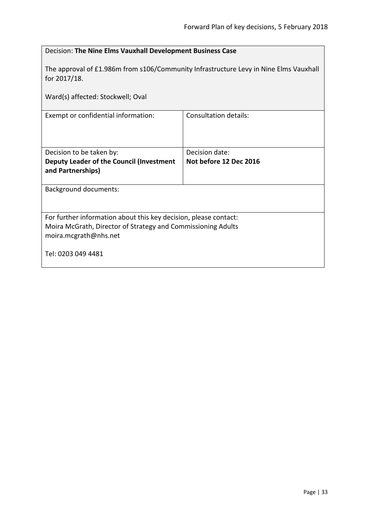<span id="page-32-0"></span>

| Decision: The Nine Elms Vauxhall Development Business Case                                                                                                |                        |
|-----------------------------------------------------------------------------------------------------------------------------------------------------------|------------------------|
| The approval of £1.986m from s106/Community Infrastructure Levy in Nine Elms Vauxhall<br>for 2017/18.                                                     |                        |
| Ward(s) affected: Stockwell; Oval                                                                                                                         |                        |
| Exempt or confidential information:                                                                                                                       | Consultation details:  |
| Decision to be taken by:                                                                                                                                  | Decision date:         |
| Deputy Leader of the Council (Investment<br>and Partnerships)                                                                                             | Not before 12 Dec 2016 |
| <b>Background documents:</b>                                                                                                                              |                        |
| For further information about this key decision, please contact:<br>Moira McGrath, Director of Strategy and Commissioning Adults<br>moira.mcgrath@nhs.net |                        |
| Tel: 0203 049 4481                                                                                                                                        |                        |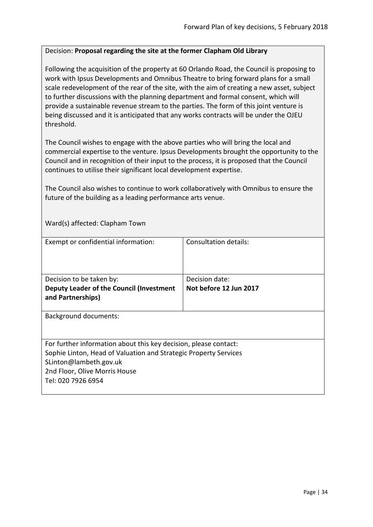#### <span id="page-33-0"></span>Decision: **Proposal regarding the site at the former Clapham Old Library**

Following the acquisition of the property at 60 Orlando Road, the Council is proposing to work with Ipsus Developments and Omnibus Theatre to bring forward plans for a small scale redevelopment of the rear of the site, with the aim of creating a new asset, subject to further discussions with the planning department and formal consent, which will provide a sustainable revenue stream to the parties. The form of this joint venture is being discussed and it is anticipated that any works contracts will be under the OJEU threshold.

The Council wishes to engage with the above parties who will bring the local and commercial expertise to the venture. Ipsus Developments brought the opportunity to the Council and in recognition of their input to the process, it is proposed that the Council continues to utilise their significant local development expertise.

The Council also wishes to continue to work collaboratively with Omnibus to ensure the future of the building as a leading performance arts venue.

Ward(s) affected: Clapham Town

| Exempt or confidential information:                                                                                                                                                                                   | Consultation details:  |
|-----------------------------------------------------------------------------------------------------------------------------------------------------------------------------------------------------------------------|------------------------|
| Decision to be taken by:                                                                                                                                                                                              | Decision date:         |
| Deputy Leader of the Council (Investment<br>and Partnerships)                                                                                                                                                         | Not before 12 Jun 2017 |
| <b>Background documents:</b>                                                                                                                                                                                          |                        |
| For further information about this key decision, please contact:<br>Sophie Linton, Head of Valuation and Strategic Property Services<br>SLinton@lambeth.gov.uk<br>2nd Floor, Olive Morris House<br>Tel: 020 7926 6954 |                        |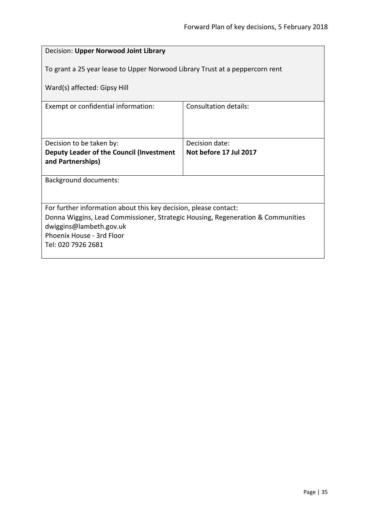<span id="page-34-0"></span>

| Decision: Upper Norwood Joint Library                                           |                        |  |
|---------------------------------------------------------------------------------|------------------------|--|
| To grant a 25 year lease to Upper Norwood Library Trust at a peppercorn rent    |                        |  |
| Ward(s) affected: Gipsy Hill                                                    |                        |  |
| Exempt or confidential information:                                             | Consultation details:  |  |
|                                                                                 |                        |  |
| Decision to be taken by:                                                        | Decision date:         |  |
| Deputy Leader of the Council (Investment                                        | Not before 17 Jul 2017 |  |
| and Partnerships)                                                               |                        |  |
| <b>Background documents:</b>                                                    |                        |  |
|                                                                                 |                        |  |
| For further information about this key decision, please contact:                |                        |  |
| Donna Wiggins, Lead Commissioner, Strategic Housing, Regeneration & Communities |                        |  |
| dwiggins@lambeth.gov.uk<br>Phoenix House - 3rd Floor                            |                        |  |
| Tel: 020 7926 2681                                                              |                        |  |
|                                                                                 |                        |  |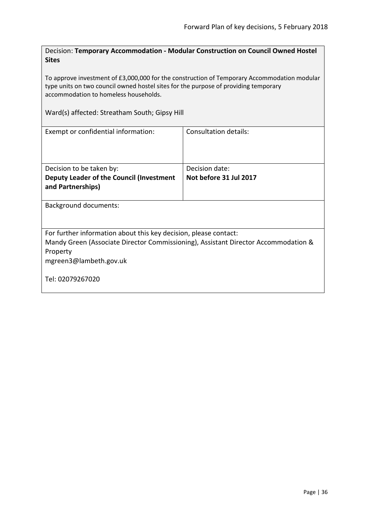<span id="page-35-0"></span>Decision: **Temporary Accommodation - Modular Construction on Council Owned Hostel Sites**

To approve investment of £3,000,000 for the construction of Temporary Accommodation modular type units on two council owned hostel sites for the purpose of providing temporary accommodation to homeless households.

#### Ward(s) affected: Streatham South; Gipsy Hill

| Exempt or confidential information:                                                | Consultation details:  |
|------------------------------------------------------------------------------------|------------------------|
| Decision to be taken by:                                                           | Decision date:         |
| Deputy Leader of the Council (Investment                                           | Not before 31 Jul 2017 |
| and Partnerships)                                                                  |                        |
|                                                                                    |                        |
| Background documents:                                                              |                        |
| For further information about this key decision, please contact:                   |                        |
| Mandy Green (Associate Director Commissioning), Assistant Director Accommodation & |                        |
| Property                                                                           |                        |
| mgreen3@lambeth.gov.uk                                                             |                        |
| Tel: 02079267020                                                                   |                        |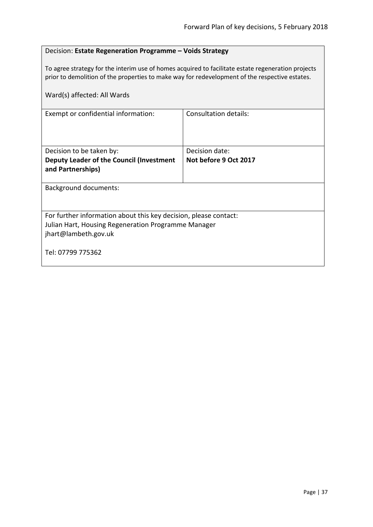# Decision: **Estate Regeneration Programme – Voids Strategy**

To agree strategy for the interim use of homes acquired to facilitate estate regeneration projects prior to demolition of the properties to make way for redevelopment of the respective estates.

| Ward(s) affected: All Wards                                                                                                                     |                              |  |
|-------------------------------------------------------------------------------------------------------------------------------------------------|------------------------------|--|
| Exempt or confidential information:                                                                                                             | <b>Consultation details:</b> |  |
| Decision to be taken by:                                                                                                                        | Decision date:               |  |
| Deputy Leader of the Council (Investment<br>and Partnerships)                                                                                   | Not before 9 Oct 2017        |  |
| <b>Background documents:</b>                                                                                                                    |                              |  |
| For further information about this key decision, please contact:<br>Julian Hart, Housing Regeneration Programme Manager<br>jhart@lambeth.gov.uk |                              |  |
| Tel: 07799 775362                                                                                                                               |                              |  |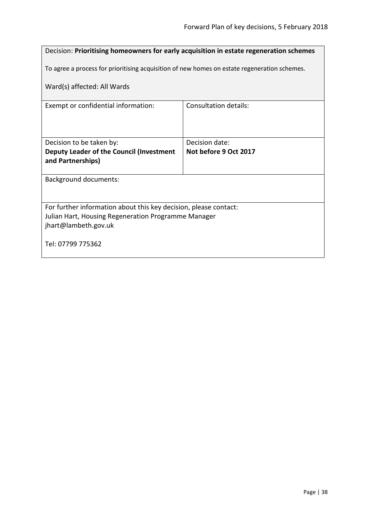# Decision: **Prioritising homeowners for early acquisition in estate regeneration schemes** To agree a process for prioritising acquisition of new homes on estate regeneration schemes. Ward(s) affected: All Wards Exempt or confidential information: Consultation details: Decision to be taken by: **Deputy Leader of the Council (Investment and Partnerships)** Decision date: **Not before 9 Oct 2017** Background documents: For further information about this key decision, please contact: Julian Hart, Housing Regeneration Programme Manager jhart@lambeth.gov.uk Tel: 07799 775362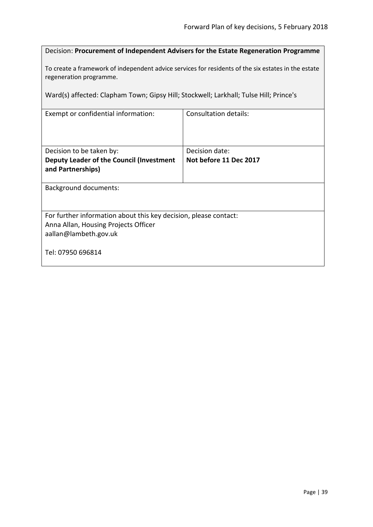Decision: **Procurement of Independent Advisers for the Estate Regeneration Programme**

To create a framework of independent advice services for residents of the six estates in the estate regeneration programme.

Ward(s) affected: Clapham Town; Gipsy Hill; Stockwell; Larkhall; Tulse Hill; Prince's

| Exempt or confidential information:                              | Consultation details:  |  |
|------------------------------------------------------------------|------------------------|--|
| Decision to be taken by:                                         | Decision date:         |  |
| Deputy Leader of the Council (Investment<br>and Partnerships)    | Not before 11 Dec 2017 |  |
| <b>Background documents:</b>                                     |                        |  |
| For further information about this key decision, please contact: |                        |  |
| Anna Allan, Housing Projects Officer                             |                        |  |
| aallan@lambeth.gov.uk                                            |                        |  |
| Tel: 07950 696814                                                |                        |  |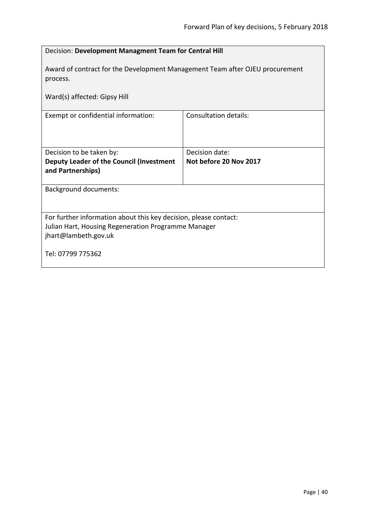| Decision: Development Managment Team for Central Hill                                    |                              |  |
|------------------------------------------------------------------------------------------|------------------------------|--|
| Award of contract for the Development Management Team after OJEU procurement<br>process. |                              |  |
| Ward(s) affected: Gipsy Hill                                                             |                              |  |
| Exempt or confidential information:                                                      | <b>Consultation details:</b> |  |
| Decision to be taken by:                                                                 | Decision date:               |  |
| Deputy Leader of the Council (Investment<br>and Partnerships)                            | Not before 20 Nov 2017       |  |
| <b>Background documents:</b>                                                             |                              |  |
| For further information about this key decision, please contact:                         |                              |  |
| Julian Hart, Housing Regeneration Programme Manager<br>jhart@lambeth.gov.uk              |                              |  |
| Tel: 07799 775362                                                                        |                              |  |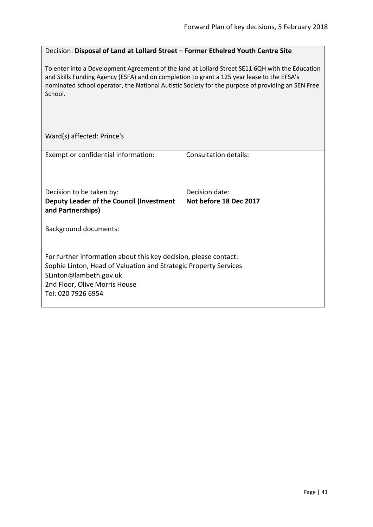#### Decision: **Disposal of Land at Lollard Street – Former Ethelred Youth Centre Site**

To enter into a Development Agreement of the land at Lollard Street SE11 6QH with the Education and Skills Funding Agency (ESFA) and on completion to grant a 125 year lease to the EFSA's nominated school operator, the National Autistic Society for the purpose of providing an SEN Free School.

Ward(s) affected: Prince's

| Exempt or confidential information:                                                                                                                                                                                   | Consultation details:  |
|-----------------------------------------------------------------------------------------------------------------------------------------------------------------------------------------------------------------------|------------------------|
|                                                                                                                                                                                                                       |                        |
| Decision to be taken by:                                                                                                                                                                                              | Decision date:         |
| Deputy Leader of the Council (Investment<br>and Partnerships)                                                                                                                                                         | Not before 18 Dec 2017 |
| <b>Background documents:</b>                                                                                                                                                                                          |                        |
| For further information about this key decision, please contact:<br>Sophie Linton, Head of Valuation and Strategic Property Services<br>SLinton@lambeth.gov.uk<br>2nd Floor, Olive Morris House<br>Tel: 020 7926 6954 |                        |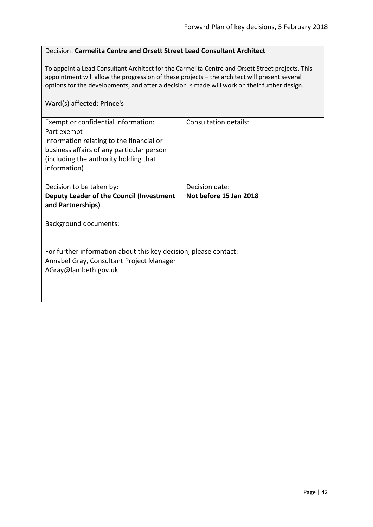# Decision: **Carmelita Centre and Orsett Street Lead Consultant Architect**

To appoint a Lead Consultant Architect for the Carmelita Centre and Orsett Street projects. This appointment will allow the progression of these projects – the architect will present several options for the developments, and after a decision is made will work on their further design.

# Ward(s) affected: Prince's

| Exempt or confidential information:<br>Part exempt<br>Information relating to the financial or<br>business affairs of any particular person<br>(including the authority holding that<br>information) | <b>Consultation details:</b> |
|------------------------------------------------------------------------------------------------------------------------------------------------------------------------------------------------------|------------------------------|
| Decision to be taken by:                                                                                                                                                                             | Decision date:               |
| Deputy Leader of the Council (Investment<br>and Partnerships)                                                                                                                                        | Not before 15 Jan 2018       |
| <b>Background documents:</b>                                                                                                                                                                         |                              |
| For further information about this key decision, please contact:<br>Annabel Gray, Consultant Project Manager<br>AGray@lambeth.gov.uk                                                                 |                              |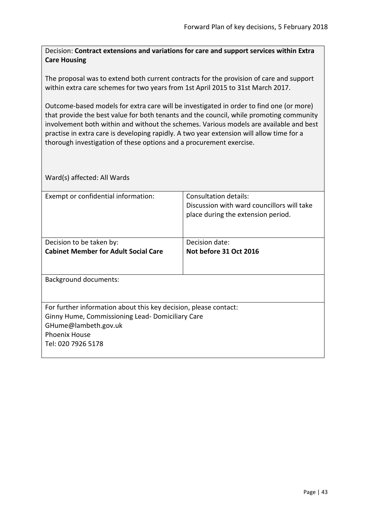Decision: **Contract extensions and variations for care and support services within Extra Care Housing**

The proposal was to extend both current contracts for the provision of care and support within extra care schemes for two years from 1st April 2015 to 31st March 2017.

Outcome-based models for extra care will be investigated in order to find one (or more) that provide the best value for both tenants and the council, while promoting community involvement both within and without the schemes. Various models are available and best practise in extra care is developing rapidly. A two year extension will allow time for a thorough investigation of these options and a procurement exercise.

| Exempt or confidential information:                              | Consultation details:<br>Discussion with ward councillors will take<br>place during the extension period. |
|------------------------------------------------------------------|-----------------------------------------------------------------------------------------------------------|
|                                                                  |                                                                                                           |
| Decision to be taken by:                                         | Decision date:                                                                                            |
| <b>Cabinet Member for Adult Social Care</b>                      | Not before 31 Oct 2016                                                                                    |
|                                                                  |                                                                                                           |
| <b>Background documents:</b>                                     |                                                                                                           |
| For further information about this key decision, please contact: |                                                                                                           |
| Ginny Hume, Commissioning Lead-Domiciliary Care                  |                                                                                                           |
| GHume@lambeth.gov.uk                                             |                                                                                                           |
| <b>Phoenix House</b>                                             |                                                                                                           |
| Tel: 020 7926 5178                                               |                                                                                                           |
|                                                                  |                                                                                                           |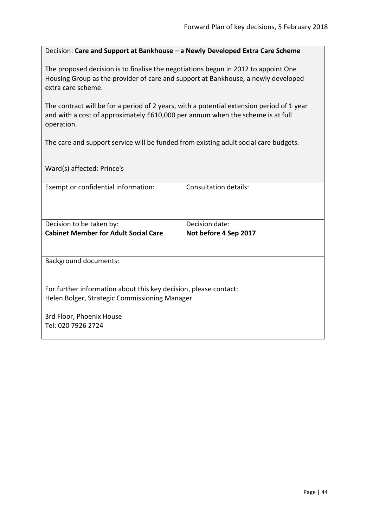Decision: **Care and Support at Bankhouse – a Newly Developed Extra Care Scheme**

The proposed decision is to finalise the negotiations begun in 2012 to appoint One Housing Group as the provider of care and support at Bankhouse, a newly developed extra care scheme.

The contract will be for a period of 2 years, with a potential extension period of 1 year and with a cost of approximately £610,000 per annum when the scheme is at full operation.

The care and support service will be funded from existing adult social care budgets.

Ward(s) affected: Prince's

| Exempt or confidential information:                              | Consultation details: |
|------------------------------------------------------------------|-----------------------|
|                                                                  |                       |
|                                                                  |                       |
| Decision to be taken by:                                         | Decision date:        |
| <b>Cabinet Member for Adult Social Care</b>                      | Not before 4 Sep 2017 |
|                                                                  |                       |
|                                                                  |                       |
| <b>Background documents:</b>                                     |                       |
|                                                                  |                       |
| For further information about this key decision, please contact: |                       |
| Helen Bolger, Strategic Commissioning Manager                    |                       |
|                                                                  |                       |
| 3rd Floor, Phoenix House                                         |                       |
| Tel: 020 7926 2724                                               |                       |
|                                                                  |                       |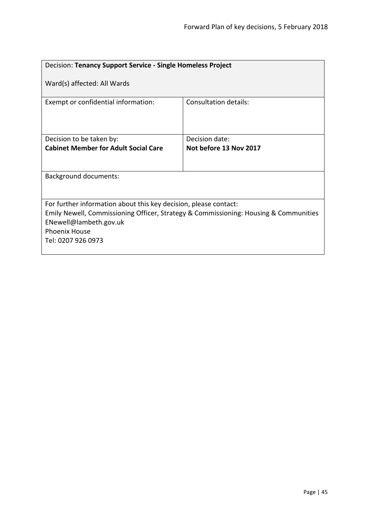| Decision: Tenancy Support Service - Single Homeless Project                                                                                                                                                                      |                        |  |
|----------------------------------------------------------------------------------------------------------------------------------------------------------------------------------------------------------------------------------|------------------------|--|
| Ward(s) affected: All Wards                                                                                                                                                                                                      |                        |  |
| Exempt or confidential information:                                                                                                                                                                                              | Consultation details:  |  |
| Decision to be taken by:                                                                                                                                                                                                         | Decision date:         |  |
| <b>Cabinet Member for Adult Social Care</b>                                                                                                                                                                                      | Not before 13 Nov 2017 |  |
|                                                                                                                                                                                                                                  |                        |  |
| <b>Background documents:</b>                                                                                                                                                                                                     |                        |  |
|                                                                                                                                                                                                                                  |                        |  |
| For further information about this key decision, please contact:<br>Emily Newell, Commissioning Officer, Strategy & Commissioning: Housing & Communities<br>ENewell@lambeth.gov.uk<br><b>Phoenix House</b><br>Tel: 0207 926 0973 |                        |  |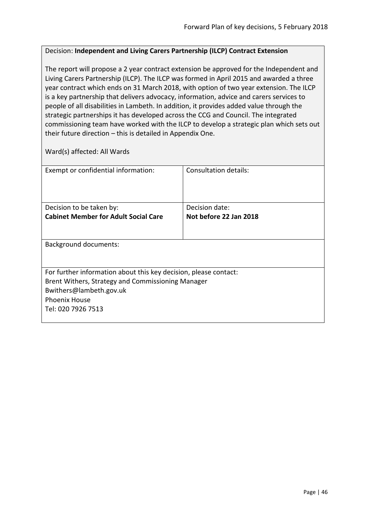# Decision: **Independent and Living Carers Partnership (ILCP) Contract Extension**

The report will propose a 2 year contract extension be approved for the Independent and Living Carers Partnership (ILCP). The ILCP was formed in April 2015 and awarded a three year contract which ends on 31 March 2018, with option of two year extension. The ILCP is a key partnership that delivers advocacy, information, advice and carers services to people of all disabilities in Lambeth. In addition, it provides added value through the strategic partnerships it has developed across the CCG and Council. The integrated commissioning team have worked with the ILCP to develop a strategic plan which sets out their future direction – this is detailed in Appendix One.

| Exempt or confidential information:                              | Consultation details:  |  |
|------------------------------------------------------------------|------------------------|--|
|                                                                  |                        |  |
|                                                                  |                        |  |
| Decision to be taken by:                                         | Decision date:         |  |
| <b>Cabinet Member for Adult Social Care</b>                      | Not before 22 Jan 2018 |  |
|                                                                  |                        |  |
|                                                                  |                        |  |
| <b>Background documents:</b>                                     |                        |  |
|                                                                  |                        |  |
|                                                                  |                        |  |
| For further information about this key decision, please contact: |                        |  |
| Brent Withers, Strategy and Commissioning Manager                |                        |  |
| Bwithers@lambeth.gov.uk                                          |                        |  |
| <b>Phoenix House</b>                                             |                        |  |
| Tel: 020 7926 7513                                               |                        |  |
|                                                                  |                        |  |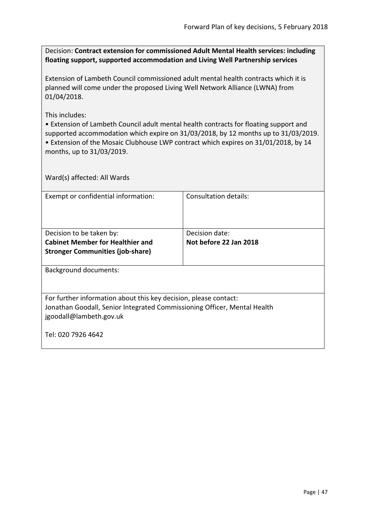Decision: **Contract extension for commissioned Adult Mental Health services: including floating support, supported accommodation and Living Well Partnership services**

Extension of Lambeth Council commissioned adult mental health contracts which it is planned will come under the proposed Living Well Network Alliance (LWNA) from 01/04/2018.

This includes:

• Extension of Lambeth Council adult mental health contracts for floating support and supported accommodation which expire on 31/03/2018, by 12 months up to 31/03/2019. • Extension of the Mosaic Clubhouse LWP contract which expires on 31/01/2018, by 14

months, up to 31/03/2019.

| Exempt or confidential information:                                                                                                          | Consultation details:  |  |
|----------------------------------------------------------------------------------------------------------------------------------------------|------------------------|--|
|                                                                                                                                              |                        |  |
|                                                                                                                                              |                        |  |
| Decision to be taken by:                                                                                                                     | Decision date:         |  |
| <b>Cabinet Member for Healthier and</b>                                                                                                      | Not before 22 Jan 2018 |  |
| <b>Stronger Communities (job-share)</b>                                                                                                      |                        |  |
|                                                                                                                                              |                        |  |
| <b>Background documents:</b>                                                                                                                 |                        |  |
|                                                                                                                                              |                        |  |
|                                                                                                                                              |                        |  |
| For further information about this key decision, please contact:<br>Jonathan Goodall, Senior Integrated Commissioning Officer, Mental Health |                        |  |
| jgoodall@lambeth.gov.uk                                                                                                                      |                        |  |
|                                                                                                                                              |                        |  |
| Tel: 020 7926 4642                                                                                                                           |                        |  |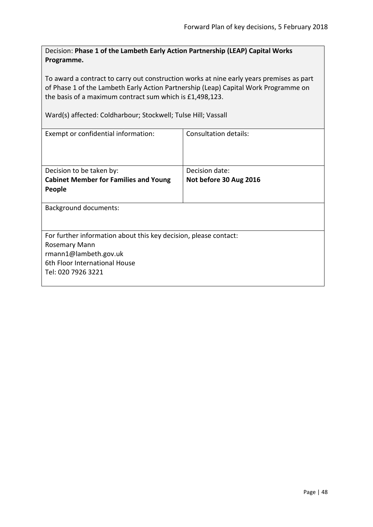Decision: **Phase 1 of the Lambeth Early Action Partnership (LEAP) Capital Works Programme.**

To award a contract to carry out construction works at nine early years premises as part of Phase 1 of the Lambeth Early Action Partnership (Leap) Capital Work Programme on the basis of a maximum contract sum which is £1,498,123.

Ward(s) affected: Coldharbour; Stockwell; Tulse Hill; Vassall

| Exempt or confidential information:                              | Consultation details:  |  |
|------------------------------------------------------------------|------------------------|--|
|                                                                  |                        |  |
| Decision to be taken by:                                         | Decision date:         |  |
| <b>Cabinet Member for Families and Young</b>                     | Not before 30 Aug 2016 |  |
| People                                                           |                        |  |
| <b>Background documents:</b>                                     |                        |  |
| For further information about this key decision, please contact: |                        |  |
| Rosemary Mann                                                    |                        |  |
| rmann1@lambeth.gov.uk                                            |                        |  |
| 6th Floor International House                                    |                        |  |
| Tel: 020 7926 3221                                               |                        |  |
|                                                                  |                        |  |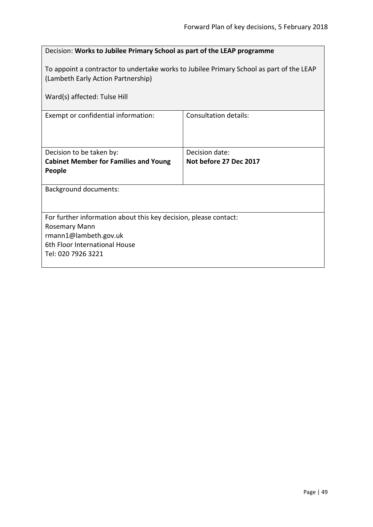| Decision: Works to Jubilee Primary School as part of the LEAP programme                                                                                        |                        |  |
|----------------------------------------------------------------------------------------------------------------------------------------------------------------|------------------------|--|
| To appoint a contractor to undertake works to Jubilee Primary School as part of the LEAP<br>(Lambeth Early Action Partnership)<br>Ward(s) affected: Tulse Hill |                        |  |
| Exempt or confidential information:                                                                                                                            | Consultation details:  |  |
|                                                                                                                                                                |                        |  |
| Decision to be taken by:                                                                                                                                       | Decision date:         |  |
| <b>Cabinet Member for Families and Young</b><br>People                                                                                                         | Not before 27 Dec 2017 |  |
| <b>Background documents:</b>                                                                                                                                   |                        |  |
| For further information about this key decision, please contact:                                                                                               |                        |  |
| Rosemary Mann<br>rmann1@lambeth.gov.uk                                                                                                                         |                        |  |
| 6th Floor International House                                                                                                                                  |                        |  |
| Tel: 020 7926 3221                                                                                                                                             |                        |  |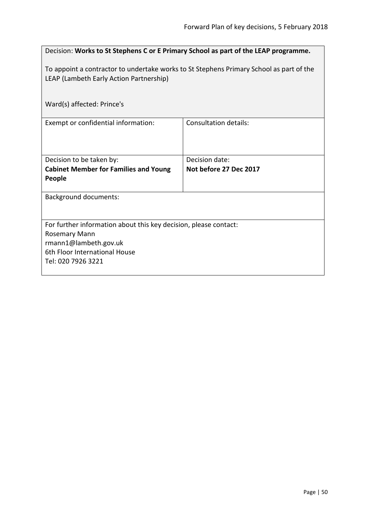| Decision: Works to St Stephens C or E Primary School as part of the LEAP programme.                                                |                                          |  |
|------------------------------------------------------------------------------------------------------------------------------------|------------------------------------------|--|
| To appoint a contractor to undertake works to St Stephens Primary School as part of the<br>LEAP (Lambeth Early Action Partnership) |                                          |  |
| Ward(s) affected: Prince's                                                                                                         |                                          |  |
| Exempt or confidential information:                                                                                                | <b>Consultation details:</b>             |  |
| Decision to be taken by:<br><b>Cabinet Member for Families and Young</b>                                                           | Decision date:<br>Not before 27 Dec 2017 |  |
| People                                                                                                                             |                                          |  |
| <b>Background documents:</b>                                                                                                       |                                          |  |
| For further information about this key decision, please contact:                                                                   |                                          |  |
| <b>Rosemary Mann</b><br>rmann1@lambeth.gov.uk                                                                                      |                                          |  |
| 6th Floor International House<br>Tel: 020 7926 3221                                                                                |                                          |  |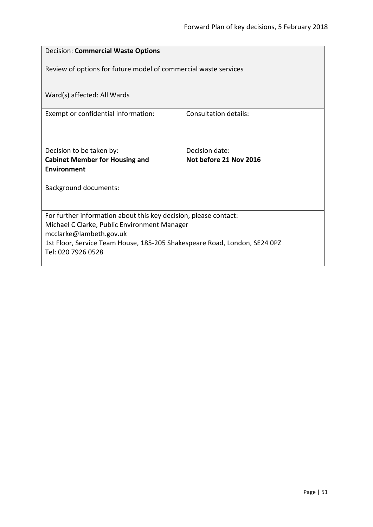| <b>Decision: Commercial Waste Options</b>                                 |                        |  |
|---------------------------------------------------------------------------|------------------------|--|
| Review of options for future model of commercial waste services           |                        |  |
| Ward(s) affected: All Wards                                               |                        |  |
| Exempt or confidential information:                                       | Consultation details:  |  |
|                                                                           |                        |  |
| Decision to be taken by:                                                  | Decision date:         |  |
| <b>Cabinet Member for Housing and</b>                                     | Not before 21 Nov 2016 |  |
| <b>Environment</b>                                                        |                        |  |
| <b>Background documents:</b>                                              |                        |  |
|                                                                           |                        |  |
| For further information about this key decision, please contact:          |                        |  |
| Michael C Clarke, Public Environment Manager<br>mcclarke@lambeth.gov.uk   |                        |  |
| 1st Floor, Service Team House, 185-205 Shakespeare Road, London, SE24 0PZ |                        |  |
| Tel: 020 7926 0528                                                        |                        |  |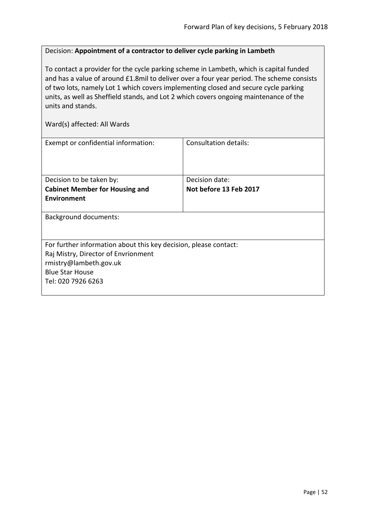#### Decision: **Appointment of a contractor to deliver cycle parking in Lambeth**

To contact a provider for the cycle parking scheme in Lambeth, which is capital funded and has a value of around £1.8mil to deliver over a four year period. The scheme consists of two lots, namely Lot 1 which covers implementing closed and secure cycle parking units, as well as Sheffield stands, and Lot 2 which covers ongoing maintenance of the units and stands.

| Exempt or confidential information:                              | Consultation details:  |
|------------------------------------------------------------------|------------------------|
| Decision to be taken by:                                         | Decision date:         |
| <b>Cabinet Member for Housing and</b>                            | Not before 13 Feb 2017 |
| Environment                                                      |                        |
| <b>Background documents:</b>                                     |                        |
| For further information about this key decision, please contact: |                        |
| Raj Mistry, Director of Envrionment                              |                        |
| rmistry@lambeth.gov.uk                                           |                        |
| <b>Blue Star House</b>                                           |                        |
| Tel: 020 7926 6263                                               |                        |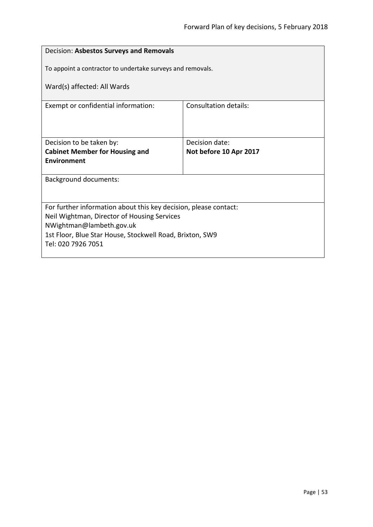| Decision: Asbestos Surveys and Removals                                 |                                          |  |
|-------------------------------------------------------------------------|------------------------------------------|--|
| To appoint a contractor to undertake surveys and removals.              |                                          |  |
| Ward(s) affected: All Wards                                             |                                          |  |
| Exempt or confidential information:                                     | <b>Consultation details:</b>             |  |
|                                                                         |                                          |  |
| Decision to be taken by:<br><b>Cabinet Member for Housing and</b>       | Decision date:<br>Not before 10 Apr 2017 |  |
| <b>Environment</b>                                                      |                                          |  |
| <b>Background documents:</b>                                            |                                          |  |
|                                                                         |                                          |  |
| For further information about this key decision, please contact:        |                                          |  |
| Neil Wightman, Director of Housing Services<br>NWightman@lambeth.gov.uk |                                          |  |
| 1st Floor, Blue Star House, Stockwell Road, Brixton, SW9                |                                          |  |
| Tel: 020 7926 7051                                                      |                                          |  |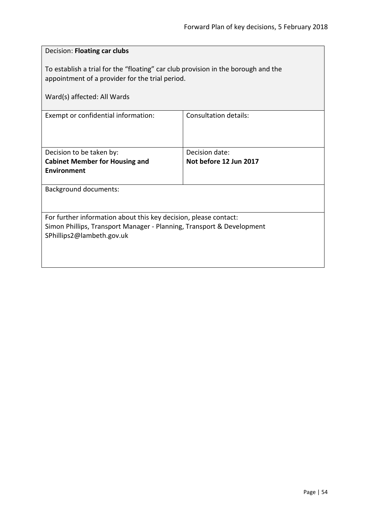| Decision: Floating car clubs                                                                                                                                           |                        |
|------------------------------------------------------------------------------------------------------------------------------------------------------------------------|------------------------|
| To establish a trial for the "floating" car club provision in the borough and the<br>appointment of a provider for the trial period.                                   |                        |
| Ward(s) affected: All Wards                                                                                                                                            |                        |
| Exempt or confidential information:                                                                                                                                    | Consultation details:  |
| Decision to be taken by:                                                                                                                                               | Decision date:         |
| <b>Cabinet Member for Housing and</b><br><b>Environment</b>                                                                                                            | Not before 12 Jun 2017 |
| <b>Background documents:</b>                                                                                                                                           |                        |
| For further information about this key decision, please contact:<br>Simon Phillips, Transport Manager - Planning, Transport & Development<br>SPhillips2@lambeth.gov.uk |                        |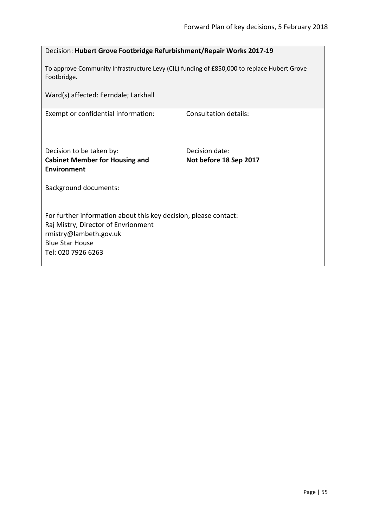| Decision: Hubert Grove Footbridge Refurbishment/Repair Works 2017-19                                      |                        |  |
|-----------------------------------------------------------------------------------------------------------|------------------------|--|
| To approve Community Infrastructure Levy (CIL) funding of £850,000 to replace Hubert Grove<br>Footbridge. |                        |  |
| Ward(s) affected: Ferndale; Larkhall                                                                      |                        |  |
| Exempt or confidential information:                                                                       | Consultation details:  |  |
|                                                                                                           |                        |  |
| Decision to be taken by:                                                                                  | Decision date:         |  |
| <b>Cabinet Member for Housing and</b>                                                                     | Not before 18 Sep 2017 |  |
| <b>Environment</b>                                                                                        |                        |  |
| Background documents:                                                                                     |                        |  |
|                                                                                                           |                        |  |
| For further information about this key decision, please contact:                                          |                        |  |
| Raj Mistry, Director of Envrionment                                                                       |                        |  |
| rmistry@lambeth.gov.uk                                                                                    |                        |  |
| <b>Blue Star House</b>                                                                                    |                        |  |
| Tel: 020 7926 6263                                                                                        |                        |  |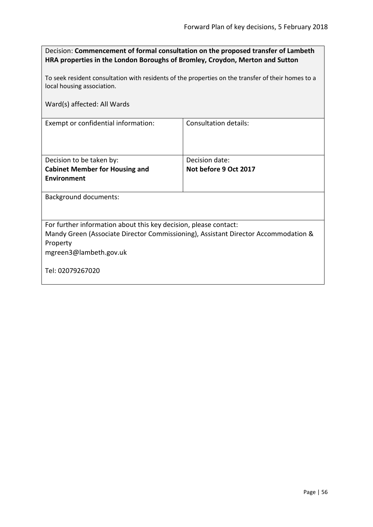| Decision: Commencement of formal consultation on the proposed transfer of Lambeth |
|-----------------------------------------------------------------------------------|
| HRA properties in the London Boroughs of Bromley, Croydon, Merton and Sutton      |

To seek resident consultation with residents of the properties on the transfer of their homes to a local housing association.

Ward(s) affected: All Wards

Exempt or confidential information: Consultation details:

| Decision to be taken by:              | Decision date:        |
|---------------------------------------|-----------------------|
| <b>Cabinet Member for Housing and</b> | Not before 9 Oct 2017 |
| Environment                           |                       |
|                                       |                       |

Background documents:

For further information about this key decision, please contact:

Mandy Green (Associate Director Commissioning), Assistant Director Accommodation & Property

mgreen3@lambeth.gov.uk

Tel: 02079267020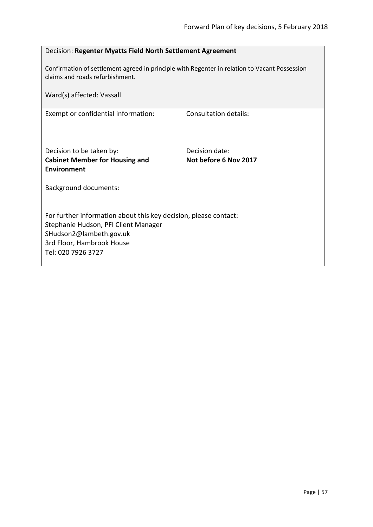| Decision: Regenter Myatts Field North Settlement Agreement                                                                       |                       |  |
|----------------------------------------------------------------------------------------------------------------------------------|-----------------------|--|
| Confirmation of settlement agreed in principle with Regenter in relation to Vacant Possession<br>claims and roads refurbishment. |                       |  |
| Ward(s) affected: Vassall                                                                                                        |                       |  |
| Exempt or confidential information:                                                                                              | Consultation details: |  |
|                                                                                                                                  |                       |  |
| Decision to be taken by:                                                                                                         | Decision date:        |  |
| <b>Cabinet Member for Housing and</b>                                                                                            | Not before 6 Nov 2017 |  |
| <b>Environment</b>                                                                                                               |                       |  |
| <b>Background documents:</b>                                                                                                     |                       |  |
|                                                                                                                                  |                       |  |
| For further information about this key decision, please contact:                                                                 |                       |  |
| Stephanie Hudson, PFI Client Manager                                                                                             |                       |  |
| SHudson2@lambeth.gov.uk                                                                                                          |                       |  |
| 3rd Floor, Hambrook House                                                                                                        |                       |  |
| Tel: 020 7926 3727                                                                                                               |                       |  |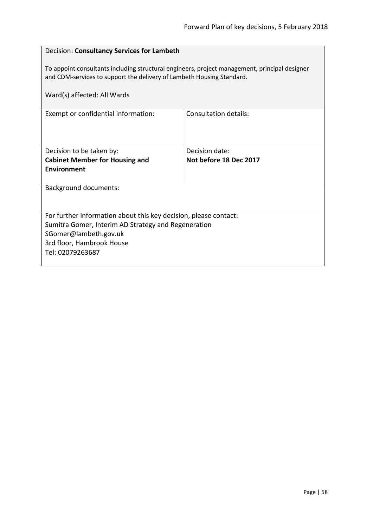| Decision: Consultancy Services for Lambeth                                                                                                                             |                        |  |
|------------------------------------------------------------------------------------------------------------------------------------------------------------------------|------------------------|--|
| To appoint consultants including structural engineers, project management, principal designer<br>and CDM-services to support the delivery of Lambeth Housing Standard. |                        |  |
| Ward(s) affected: All Wards                                                                                                                                            |                        |  |
| Exempt or confidential information:                                                                                                                                    | Consultation details:  |  |
|                                                                                                                                                                        |                        |  |
|                                                                                                                                                                        |                        |  |
| Decision to be taken by:                                                                                                                                               | Decision date:         |  |
| <b>Cabinet Member for Housing and</b>                                                                                                                                  | Not before 18 Dec 2017 |  |
| Environment                                                                                                                                                            |                        |  |
| <b>Background documents:</b>                                                                                                                                           |                        |  |
|                                                                                                                                                                        |                        |  |
| For further information about this key decision, please contact:                                                                                                       |                        |  |
| Sumitra Gomer, Interim AD Strategy and Regeneration                                                                                                                    |                        |  |
| SGomer@lambeth.gov.uk                                                                                                                                                  |                        |  |
| 3rd floor, Hambrook House                                                                                                                                              |                        |  |
| Tel: 02079263687                                                                                                                                                       |                        |  |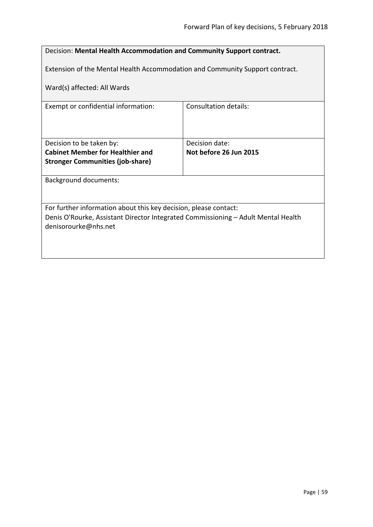| Decision: Mental Health Accommodation and Community Support contract.                                     |                        |  |
|-----------------------------------------------------------------------------------------------------------|------------------------|--|
| Extension of the Mental Health Accommodation and Community Support contract.                              |                        |  |
| Ward(s) affected: All Wards                                                                               |                        |  |
| Exempt or confidential information:                                                                       | Consultation details:  |  |
|                                                                                                           |                        |  |
| Decision to be taken by:                                                                                  | Decision date:         |  |
| <b>Cabinet Member for Healthier and</b>                                                                   | Not before 26 Jun 2015 |  |
| <b>Stronger Communities (job-share)</b>                                                                   |                        |  |
| <b>Background documents:</b>                                                                              |                        |  |
|                                                                                                           |                        |  |
| For further information about this key decision, please contact:                                          |                        |  |
| Denis O'Rourke, Assistant Director Integrated Commissioning - Adult Mental Health<br>denisorourke@nhs.net |                        |  |
|                                                                                                           |                        |  |
|                                                                                                           |                        |  |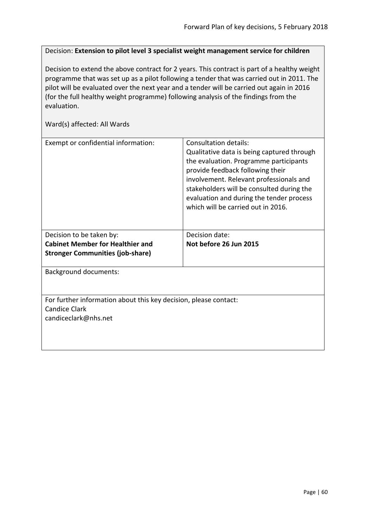Decision: **Extension to pilot level 3 specialist weight management service for children**

Decision to extend the above contract for 2 years. This contract is part of a healthy weight programme that was set up as a pilot following a tender that was carried out in 2011. The pilot will be evaluated over the next year and a tender will be carried out again in 2016 (for the full healthy weight programme) following analysis of the findings from the evaluation.

| Exempt or confidential information:                                                                              | Consultation details:<br>Qualitative data is being captured through<br>the evaluation. Programme participants<br>provide feedback following their<br>involvement. Relevant professionals and<br>stakeholders will be consulted during the<br>evaluation and during the tender process<br>which will be carried out in 2016. |
|------------------------------------------------------------------------------------------------------------------|-----------------------------------------------------------------------------------------------------------------------------------------------------------------------------------------------------------------------------------------------------------------------------------------------------------------------------|
| Decision to be taken by:                                                                                         | Decision date:                                                                                                                                                                                                                                                                                                              |
| <b>Cabinet Member for Healthier and</b><br><b>Stronger Communities (job-share)</b>                               | Not before 26 Jun 2015                                                                                                                                                                                                                                                                                                      |
| <b>Background documents:</b>                                                                                     |                                                                                                                                                                                                                                                                                                                             |
| For further information about this key decision, please contact:<br><b>Candice Clark</b><br>candiceclark@nhs.net |                                                                                                                                                                                                                                                                                                                             |
|                                                                                                                  |                                                                                                                                                                                                                                                                                                                             |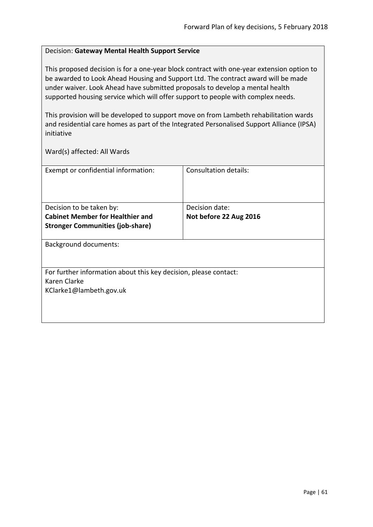# Decision: **Gateway Mental Health Support Service**

This proposed decision is for a one-year block contract with one-year extension option to be awarded to Look Ahead Housing and Support Ltd. The contract award will be made under waiver. Look Ahead have submitted proposals to develop a mental health supported housing service which will offer support to people with complex needs.

This provision will be developed to support move on from Lambeth rehabilitation wards and residential care homes as part of the Integrated Personalised Support Alliance (IPSA) initiative

| Exempt or confidential information:                              | Consultation details:  |
|------------------------------------------------------------------|------------------------|
|                                                                  |                        |
|                                                                  |                        |
|                                                                  |                        |
| Decision to be taken by:                                         | Decision date:         |
| <b>Cabinet Member for Healthier and</b>                          | Not before 22 Aug 2016 |
| <b>Stronger Communities (job-share)</b>                          |                        |
|                                                                  |                        |
| <b>Background documents:</b>                                     |                        |
|                                                                  |                        |
|                                                                  |                        |
| For further information about this key decision, please contact: |                        |
| Karen Clarke                                                     |                        |
| KClarke1@lambeth.gov.uk                                          |                        |
|                                                                  |                        |
|                                                                  |                        |
|                                                                  |                        |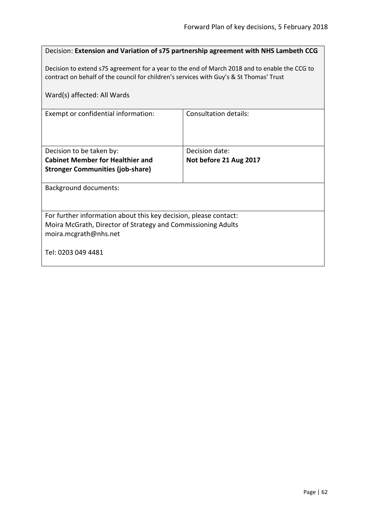|                                                                                                                                                                                          | Decision: Extension and Variation of s75 partnership agreement with NHS Lambeth CCG |  |
|------------------------------------------------------------------------------------------------------------------------------------------------------------------------------------------|-------------------------------------------------------------------------------------|--|
| Decision to extend s75 agreement for a year to the end of March 2018 and to enable the CCG to<br>contract on behalf of the council for children's services with Guy's & St Thomas' Trust |                                                                                     |  |
| Ward(s) affected: All Wards                                                                                                                                                              |                                                                                     |  |
| Exempt or confidential information:                                                                                                                                                      | Consultation details:                                                               |  |
|                                                                                                                                                                                          |                                                                                     |  |
| Decision to be taken by:                                                                                                                                                                 | Decision date:                                                                      |  |
| <b>Cabinet Member for Healthier and</b>                                                                                                                                                  | Not before 21 Aug 2017                                                              |  |
| <b>Stronger Communities (job-share)</b>                                                                                                                                                  |                                                                                     |  |
| <b>Background documents:</b>                                                                                                                                                             |                                                                                     |  |
|                                                                                                                                                                                          |                                                                                     |  |
| For further information about this key decision, please contact:                                                                                                                         |                                                                                     |  |
| Moira McGrath, Director of Strategy and Commissioning Adults                                                                                                                             |                                                                                     |  |
| moira.mcgrath@nhs.net                                                                                                                                                                    |                                                                                     |  |
| Tel: 0203 049 4481                                                                                                                                                                       |                                                                                     |  |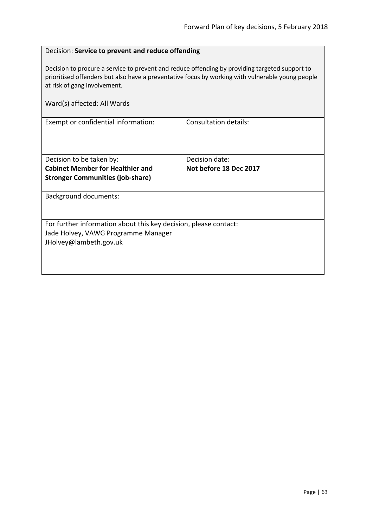# Decision: **Service to prevent and reduce offending**

Decision to procure a service to prevent and reduce offending by providing targeted support to prioritised offenders but also have a preventative focus by working with vulnerable young people at risk of gang involvement.

| Ward(s) affected: All Wards                                      |                        |
|------------------------------------------------------------------|------------------------|
| Exempt or confidential information:                              | Consultation details:  |
| Decision to be taken by:                                         | Decision date:         |
| <b>Cabinet Member for Healthier and</b>                          | Not before 18 Dec 2017 |
| <b>Stronger Communities (job-share)</b>                          |                        |
| Background documents:                                            |                        |
| For further information about this key decision, please contact: |                        |
| Jade Holvey, VAWG Programme Manager                              |                        |
| JHolvey@lambeth.gov.uk                                           |                        |
|                                                                  |                        |
|                                                                  |                        |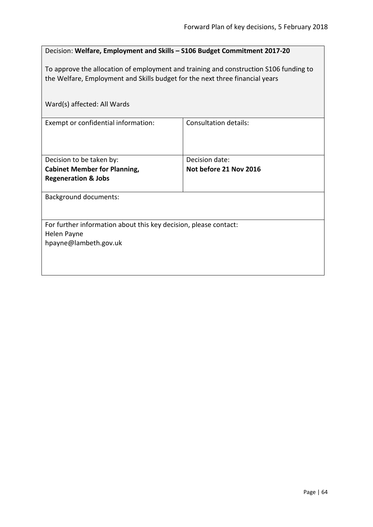| Decision: Welfare, Employment and Skills - S106 Budget Commitment 2017-20                                                                                             |                                          |  |
|-----------------------------------------------------------------------------------------------------------------------------------------------------------------------|------------------------------------------|--|
| To approve the allocation of employment and training and construction S106 funding to<br>the Welfare, Employment and Skills budget for the next three financial years |                                          |  |
| Ward(s) affected: All Wards                                                                                                                                           |                                          |  |
| Exempt or confidential information:                                                                                                                                   | Consultation details:                    |  |
| Decision to be taken by:<br><b>Cabinet Member for Planning,</b>                                                                                                       | Decision date:<br>Not before 21 Nov 2016 |  |
| <b>Regeneration &amp; Jobs</b>                                                                                                                                        |                                          |  |
| <b>Background documents:</b>                                                                                                                                          |                                          |  |
| For further information about this key decision, please contact:                                                                                                      |                                          |  |
| Helen Payne<br>hpayne@lambeth.gov.uk                                                                                                                                  |                                          |  |
|                                                                                                                                                                       |                                          |  |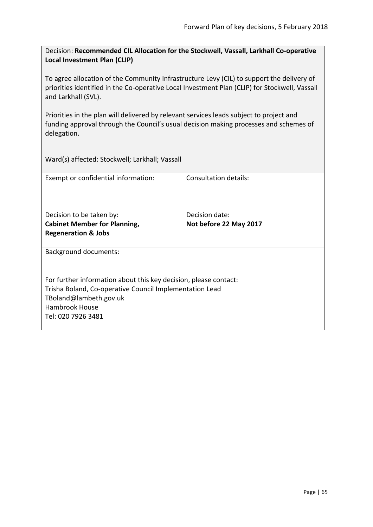Decision: **Recommended CIL Allocation for the Stockwell, Vassall, Larkhall Co-operative Local Investment Plan (CLIP)**

To agree allocation of the Community Infrastructure Levy (CIL) to support the delivery of priorities identified in the Co-operative Local Investment Plan (CLIP) for Stockwell, Vassall and Larkhall (SVL).

Priorities in the plan will delivered by relevant services leads subject to project and funding approval through the Council's usual decision making processes and schemes of delegation.

Ward(s) affected: Stockwell; Larkhall; Vassall

| Exempt or confidential information:                                                                                                                                                           | Consultation details:                    |
|-----------------------------------------------------------------------------------------------------------------------------------------------------------------------------------------------|------------------------------------------|
| Decision to be taken by:<br><b>Cabinet Member for Planning,</b>                                                                                                                               | Decision date:<br>Not before 22 May 2017 |
| <b>Regeneration &amp; Jobs</b>                                                                                                                                                                |                                          |
| <b>Background documents:</b>                                                                                                                                                                  |                                          |
| For further information about this key decision, please contact:<br>Trisha Boland, Co-operative Council Implementation Lead<br>TBoland@lambeth.gov.uk<br>Hambrook House<br>Tel: 020 7926 3481 |                                          |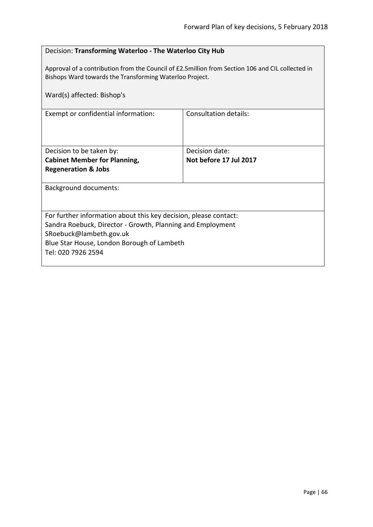|  |  | Decision: Transforming Waterloo - The Waterloo City Hub |
|--|--|---------------------------------------------------------|
|--|--|---------------------------------------------------------|

Approval of a contribution from the Council of £2.5million from Section 106 and CIL collected in Bishops Ward towards the Transforming Waterloo Project.

| Ward(s) affected: Bishop's                                       |                        |  |
|------------------------------------------------------------------|------------------------|--|
| Exempt or confidential information:                              | Consultation details:  |  |
| Decision to be taken by:                                         | Decision date:         |  |
| <b>Cabinet Member for Planning,</b>                              | Not before 17 Jul 2017 |  |
| <b>Regeneration &amp; Jobs</b>                                   |                        |  |
| <b>Background documents:</b>                                     |                        |  |
|                                                                  |                        |  |
| For further information about this key decision, please contact: |                        |  |
| Sandra Roebuck, Director - Growth, Planning and Employment       |                        |  |
| SRoebuck@lambeth.gov.uk                                          |                        |  |
| Blue Star House, London Borough of Lambeth                       |                        |  |
| Tel: 020 7926 2594                                               |                        |  |
|                                                                  |                        |  |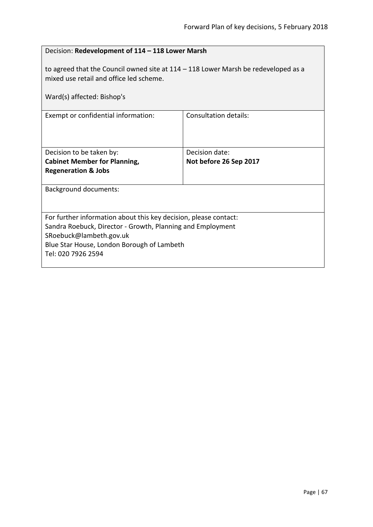| Decision: Redevelopment of 114 - 118 Lower Marsh                                                                                                                                                                              |                              |  |
|-------------------------------------------------------------------------------------------------------------------------------------------------------------------------------------------------------------------------------|------------------------------|--|
| to agreed that the Council owned site at $114 - 118$ Lower Marsh be redeveloped as a<br>mixed use retail and office led scheme.<br>Ward(s) affected: Bishop's                                                                 |                              |  |
| Exempt or confidential information:                                                                                                                                                                                           | <b>Consultation details:</b> |  |
| Decision to be taken by:                                                                                                                                                                                                      | Decision date:               |  |
| <b>Cabinet Member for Planning,</b><br><b>Regeneration &amp; Jobs</b>                                                                                                                                                         | Not before 26 Sep 2017       |  |
| <b>Background documents:</b>                                                                                                                                                                                                  |                              |  |
| For further information about this key decision, please contact:<br>Sandra Roebuck, Director - Growth, Planning and Employment<br>SRoebuck@lambeth.gov.uk<br>Blue Star House, London Borough of Lambeth<br>Tel: 020 7926 2594 |                              |  |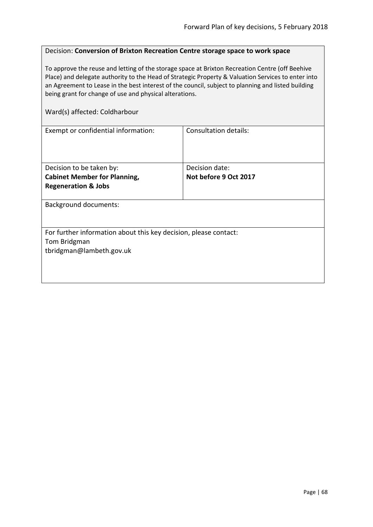# Decision: **Conversion of Brixton Recreation Centre storage space to work space**

To approve the reuse and letting of the storage space at Brixton Recreation Centre (off Beehive Place) and delegate authority to the Head of Strategic Property & Valuation Services to enter into an Agreement to Lease in the best interest of the council, subject to planning and listed building being grant for change of use and physical alterations.

#### Ward(s) affected: Coldharbour

| <b>Consultation details:</b>                                     |  |  |
|------------------------------------------------------------------|--|--|
|                                                                  |  |  |
|                                                                  |  |  |
|                                                                  |  |  |
| Decision date:                                                   |  |  |
| Not before 9 Oct 2017                                            |  |  |
|                                                                  |  |  |
|                                                                  |  |  |
| <b>Background documents:</b>                                     |  |  |
|                                                                  |  |  |
|                                                                  |  |  |
| For further information about this key decision, please contact: |  |  |
| Tom Bridgman                                                     |  |  |
|                                                                  |  |  |
|                                                                  |  |  |
|                                                                  |  |  |
|                                                                  |  |  |
|                                                                  |  |  |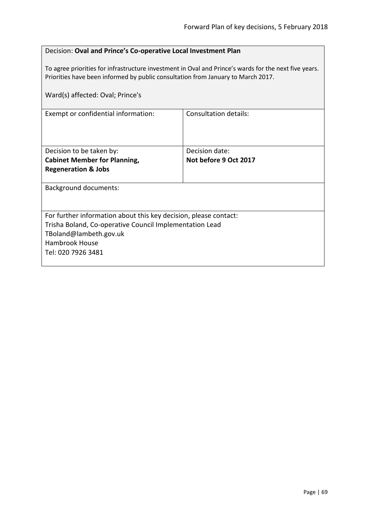| Decision: Oval and Prince's Co-operative Local Investment Plan |
|----------------------------------------------------------------|
|----------------------------------------------------------------|

To agree priorities for infrastructure investment in Oval and Prince's wards for the next five years. Priorities have been informed by public consultation from January to March 2017.

| Ward(s) affected: Oval; Prince's                                                                                                                                                                     |                                         |  |
|------------------------------------------------------------------------------------------------------------------------------------------------------------------------------------------------------|-----------------------------------------|--|
| Exempt or confidential information:                                                                                                                                                                  | Consultation details:                   |  |
| Decision to be taken by:<br><b>Cabinet Member for Planning,</b><br><b>Regeneration &amp; Jobs</b>                                                                                                    | Decision date:<br>Not before 9 Oct 2017 |  |
| <b>Background documents:</b>                                                                                                                                                                         |                                         |  |
| For further information about this key decision, please contact:<br>Trisha Boland, Co-operative Council Implementation Lead<br>TBoland@lambeth.gov.uk<br><b>Hambrook House</b><br>Tel: 020 7926 3481 |                                         |  |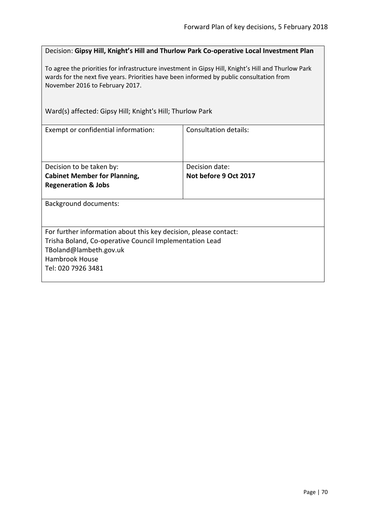Decision: **Gipsy Hill, Knight's Hill and Thurlow Park Co-operative Local Investment Plan**

To agree the priorities for infrastructure investment in Gipsy Hill, Knight's Hill and Thurlow Park wards for the next five years. Priorities have been informed by public consultation from November 2016 to February 2017.

Ward(s) affected: Gipsy Hill; Knight's Hill; Thurlow Park

| Exempt or confidential information:                              | Consultation details: |  |
|------------------------------------------------------------------|-----------------------|--|
| Decision to be taken by:                                         | Decision date:        |  |
| <b>Cabinet Member for Planning,</b>                              | Not before 9 Oct 2017 |  |
| <b>Regeneration &amp; Jobs</b>                                   |                       |  |
| <b>Background documents:</b>                                     |                       |  |
| For further information about this key decision, please contact: |                       |  |
| Trisha Boland, Co-operative Council Implementation Lead          |                       |  |
| TBoland@lambeth.gov.uk                                           |                       |  |
| Hambrook House                                                   |                       |  |
| Tel: 020 7926 3481                                               |                       |  |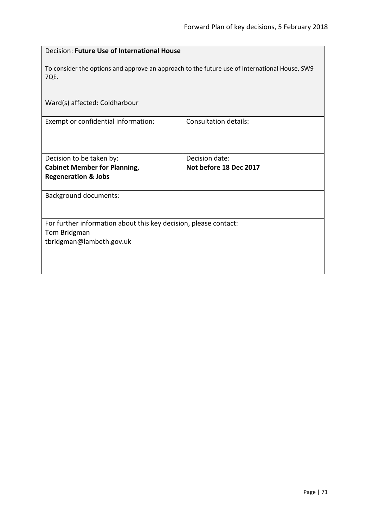| Decision: Future Use of International House                                                           |                              |  |  |
|-------------------------------------------------------------------------------------------------------|------------------------------|--|--|
| To consider the options and approve an approach to the future use of International House, SW9<br>7QE. |                              |  |  |
| Ward(s) affected: Coldharbour                                                                         |                              |  |  |
| Exempt or confidential information:                                                                   | <b>Consultation details:</b> |  |  |
| Decision to be taken by:                                                                              | Decision date:               |  |  |
| <b>Cabinet Member for Planning,</b>                                                                   | Not before 18 Dec 2017       |  |  |
| <b>Regeneration &amp; Jobs</b>                                                                        |                              |  |  |
| <b>Background documents:</b>                                                                          |                              |  |  |
| For further information about this key decision, please contact:                                      |                              |  |  |
| Tom Bridgman                                                                                          |                              |  |  |
| tbridgman@lambeth.gov.uk                                                                              |                              |  |  |
|                                                                                                       |                              |  |  |
|                                                                                                       |                              |  |  |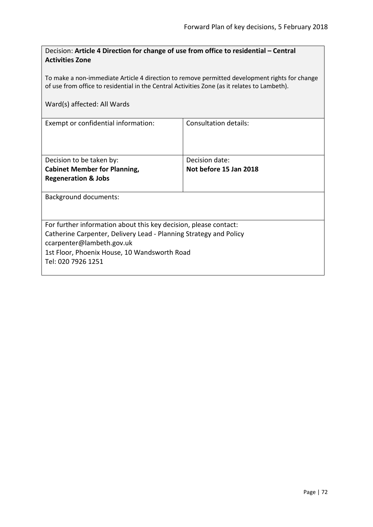| Decision: Article 4 Direction for change of use from office to residential - Central |  |
|--------------------------------------------------------------------------------------|--|
| <b>Activities Zone</b>                                                               |  |

To make a non-immediate Article 4 direction to remove permitted development rights for change of use from office to residential in the Central Activities Zone (as it relates to Lambeth).

|  |  | Ward(s) affected: All Wards |
|--|--|-----------------------------|
|--|--|-----------------------------|

| Exempt or confidential information:                               | Consultation details:  |  |
|-------------------------------------------------------------------|------------------------|--|
|                                                                   |                        |  |
|                                                                   |                        |  |
| Decision to be taken by:                                          | Decision date:         |  |
| <b>Cabinet Member for Planning,</b>                               | Not before 15 Jan 2018 |  |
| <b>Regeneration &amp; Jobs</b>                                    |                        |  |
|                                                                   |                        |  |
| Background documents:                                             |                        |  |
|                                                                   |                        |  |
|                                                                   |                        |  |
| For further information about this key decision, please contact:  |                        |  |
| Catherine Carpenter, Delivery Lead - Planning Strategy and Policy |                        |  |
| ccarpenter@lambeth.gov.uk                                         |                        |  |
| 1st Floor, Phoenix House, 10 Wandsworth Road                      |                        |  |
| Tel: 020 7926 1251                                                |                        |  |
|                                                                   |                        |  |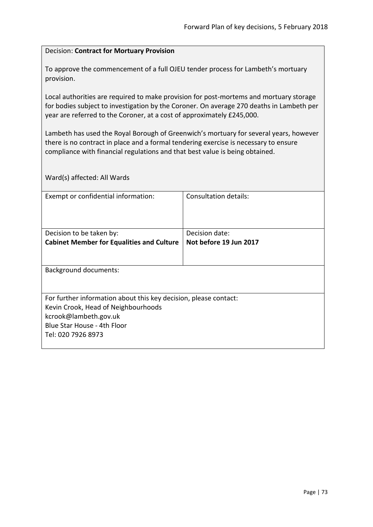#### Decision: **Contract for Mortuary Provision**

To approve the commencement of a full OJEU tender process for Lambeth's mortuary provision.

Local authorities are required to make provision for post-mortems and mortuary storage for bodies subject to investigation by the Coroner. On average 270 deaths in Lambeth per year are referred to the Coroner, at a cost of approximately £245,000.

Lambeth has used the Royal Borough of Greenwich's mortuary for several years, however there is no contract in place and a formal tendering exercise is necessary to ensure compliance with financial regulations and that best value is being obtained.

Ward(s) affected: All Wards

| Exempt or confidential information:                              | Consultation details:  |  |
|------------------------------------------------------------------|------------------------|--|
|                                                                  |                        |  |
|                                                                  |                        |  |
| Decision to be taken by:                                         | Decision date:         |  |
| <b>Cabinet Member for Equalities and Culture</b>                 | Not before 19 Jun 2017 |  |
|                                                                  |                        |  |
|                                                                  |                        |  |
| <b>Background documents:</b>                                     |                        |  |
|                                                                  |                        |  |
|                                                                  |                        |  |
| For further information about this key decision, please contact: |                        |  |
| Kevin Crook, Head of Neighbourhoods                              |                        |  |
| kcrook@lambeth.gov.uk                                            |                        |  |
| Blue Star House - 4th Floor                                      |                        |  |
| Tel: 020 7926 8973                                               |                        |  |
|                                                                  |                        |  |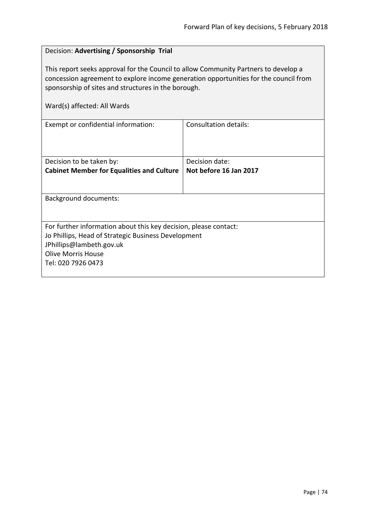# Decision: **Advertising / Sponsorship Trial** This report seeks approval for the Council to allow Community Partners to develop a concession agreement to explore income generation opportunities for the council from sponsorship of sites and structures in the borough. Ward(s) affected: All Wards Exempt or confidential information:  $\vert$  Consultation details: Decision to be taken by: **Cabinet Member for Equalities and Culture** Decision date: **Not before 16 Jan 2017** Background documents: For further information about this key decision, please contact: Jo Phillips, Head of Strategic Business Development JPhillips@lambeth.gov.uk Olive Morris House Tel: 020 7926 0473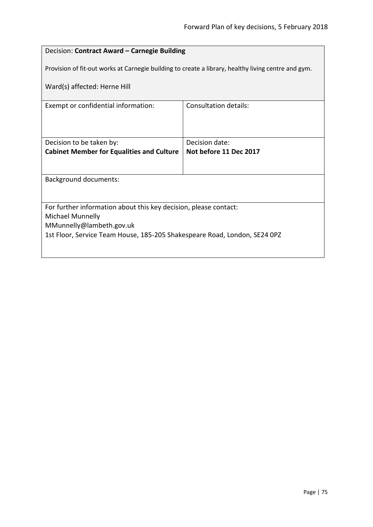## Decision: **Contract Award – Carnegie Building**

Provision of fit-out works at Carnegie building to create a library, healthy living centre and gym.

Ward(s) affected: Herne Hill

| Exempt or confidential information:                                       | Consultation details:  |  |
|---------------------------------------------------------------------------|------------------------|--|
|                                                                           |                        |  |
|                                                                           |                        |  |
|                                                                           |                        |  |
|                                                                           |                        |  |
| Decision to be taken by:                                                  | Decision date:         |  |
| <b>Cabinet Member for Equalities and Culture</b>                          | Not before 11 Dec 2017 |  |
|                                                                           |                        |  |
|                                                                           |                        |  |
|                                                                           |                        |  |
| Background documents:                                                     |                        |  |
|                                                                           |                        |  |
|                                                                           |                        |  |
| For further information about this key decision, please contact:          |                        |  |
| Michael Munnelly                                                          |                        |  |
| MMunnelly@lambeth.gov.uk                                                  |                        |  |
|                                                                           |                        |  |
| 1st Floor, Service Team House, 185-205 Shakespeare Road, London, SE24 0PZ |                        |  |
|                                                                           |                        |  |
|                                                                           |                        |  |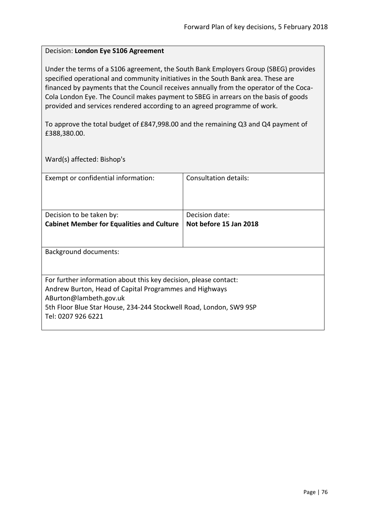### Decision: **London Eye S106 Agreement**

Under the terms of a S106 agreement, the South Bank Employers Group (SBEG) provides specified operational and community initiatives in the South Bank area. These are financed by payments that the Council receives annually from the operator of the Coca-Cola London Eye. The Council makes payment to SBEG in arrears on the basis of goods provided and services rendered according to an agreed programme of work.

To approve the total budget of £847,998.00 and the remaining Q3 and Q4 payment of £388,380.00.

Ward(s) affected: Bishop's

| Exempt or confidential information:                                                                                        | Consultation details:  |  |
|----------------------------------------------------------------------------------------------------------------------------|------------------------|--|
| Decision to be taken by:                                                                                                   | Decision date:         |  |
| <b>Cabinet Member for Equalities and Culture</b>                                                                           | Not before 15 Jan 2018 |  |
|                                                                                                                            |                        |  |
| Background documents:                                                                                                      |                        |  |
|                                                                                                                            |                        |  |
| For further information about this key decision, please contact:<br>Andrew Burton, Head of Capital Programmes and Highways |                        |  |
| ABurton@lambeth.gov.uk                                                                                                     |                        |  |
| 5th Floor Blue Star House, 234-244 Stockwell Road, London, SW9 9SP                                                         |                        |  |
| Tel: 0207 926 6221                                                                                                         |                        |  |
|                                                                                                                            |                        |  |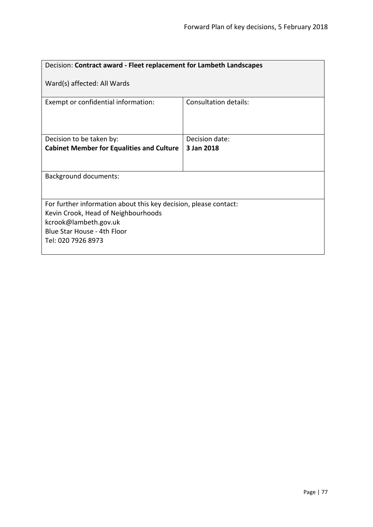| Decision: Contract award - Fleet replacement for Lambeth Landscapes                                                                                                                   |                       |  |
|---------------------------------------------------------------------------------------------------------------------------------------------------------------------------------------|-----------------------|--|
| Ward(s) affected: All Wards                                                                                                                                                           |                       |  |
| Exempt or confidential information:                                                                                                                                                   | Consultation details: |  |
| Decision to be taken by:                                                                                                                                                              | Decision date:        |  |
| <b>Cabinet Member for Equalities and Culture</b>                                                                                                                                      | 3 Jan 2018            |  |
|                                                                                                                                                                                       |                       |  |
| <b>Background documents:</b>                                                                                                                                                          |                       |  |
| For further information about this key decision, please contact:<br>Kevin Crook, Head of Neighbourhoods<br>kcrook@lambeth.gov.uk<br>Blue Star House - 4th Floor<br>Tel: 020 7926 8973 |                       |  |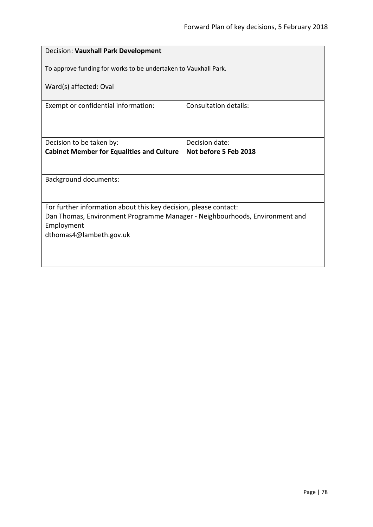| Decision: Vauxhall Park Development                                         |                       |  |
|-----------------------------------------------------------------------------|-----------------------|--|
| To approve funding for works to be undertaken to Vauxhall Park.             |                       |  |
| Ward(s) affected: Oval                                                      |                       |  |
| Exempt or confidential information:                                         | Consultation details: |  |
|                                                                             |                       |  |
| Decision to be taken by:                                                    | Decision date:        |  |
| <b>Cabinet Member for Equalities and Culture</b>                            | Not before 5 Feb 2018 |  |
|                                                                             |                       |  |
| <b>Background documents:</b>                                                |                       |  |
|                                                                             |                       |  |
| For further information about this key decision, please contact:            |                       |  |
| Dan Thomas, Environment Programme Manager - Neighbourhoods, Environment and |                       |  |
| Employment<br>dthomas4@lambeth.gov.uk                                       |                       |  |
|                                                                             |                       |  |
|                                                                             |                       |  |
|                                                                             |                       |  |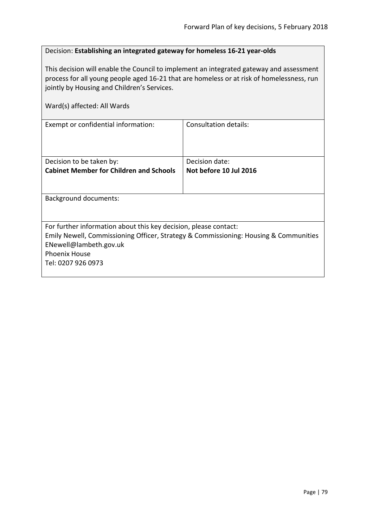## Decision: **Establishing an integrated gateway for homeless 16-21 year-olds**

This decision will enable the Council to implement an integrated gateway and assessment process for all young people aged 16-21 that are homeless or at risk of homelessness, run jointly by Housing and Children's Services.

| Ward(s) affected: All Wards                                                                                                                                                                                                      |                        |
|----------------------------------------------------------------------------------------------------------------------------------------------------------------------------------------------------------------------------------|------------------------|
| Exempt or confidential information:                                                                                                                                                                                              | Consultation details:  |
| Decision to be taken by:                                                                                                                                                                                                         | Decision date:         |
| <b>Cabinet Member for Children and Schools</b>                                                                                                                                                                                   | Not before 10 Jul 2016 |
| Background documents:                                                                                                                                                                                                            |                        |
| For further information about this key decision, please contact:<br>Emily Newell, Commissioning Officer, Strategy & Commissioning: Housing & Communities<br>ENewell@lambeth.gov.uk<br><b>Phoenix House</b><br>Tel: 0207 926 0973 |                        |
|                                                                                                                                                                                                                                  |                        |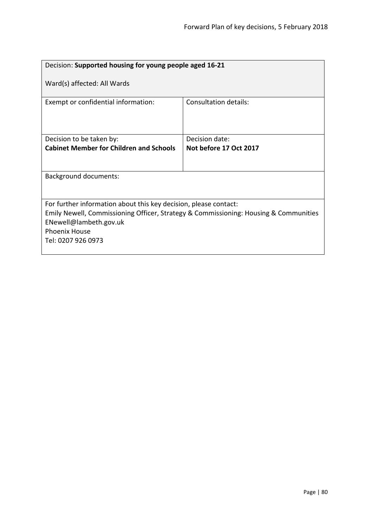| Decision: Supported housing for young people aged 16-21                                                                                                                                                                          |                        |  |
|----------------------------------------------------------------------------------------------------------------------------------------------------------------------------------------------------------------------------------|------------------------|--|
| Ward(s) affected: All Wards                                                                                                                                                                                                      |                        |  |
| Exempt or confidential information:                                                                                                                                                                                              | Consultation details:  |  |
| Decision to be taken by:                                                                                                                                                                                                         | Decision date:         |  |
| <b>Cabinet Member for Children and Schools</b>                                                                                                                                                                                   | Not before 17 Oct 2017 |  |
|                                                                                                                                                                                                                                  |                        |  |
| <b>Background documents:</b>                                                                                                                                                                                                     |                        |  |
|                                                                                                                                                                                                                                  |                        |  |
| For further information about this key decision, please contact:<br>Emily Newell, Commissioning Officer, Strategy & Commissioning: Housing & Communities<br>ENewell@lambeth.gov.uk<br><b>Phoenix House</b><br>Tel: 0207 926 0973 |                        |  |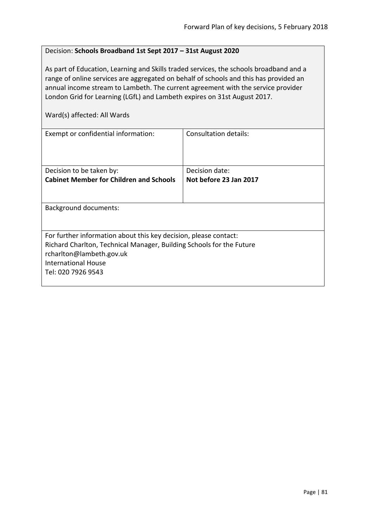#### Decision: **Schools Broadband 1st Sept 2017 – 31st August 2020**

As part of Education, Learning and Skills traded services, the schools broadband and a range of online services are aggregated on behalf of schools and this has provided an annual income stream to Lambeth. The current agreement with the service provider London Grid for Learning (LGfL) and Lambeth expires on 31st August 2017.

Ward(s) affected: All Wards

| Exempt or confidential information:                                                                                                                                                                                      | Consultation details:  |
|--------------------------------------------------------------------------------------------------------------------------------------------------------------------------------------------------------------------------|------------------------|
| Decision to be taken by:                                                                                                                                                                                                 | Decision date:         |
| <b>Cabinet Member for Children and Schools</b>                                                                                                                                                                           | Not before 23 Jan 2017 |
| Background documents:                                                                                                                                                                                                    |                        |
|                                                                                                                                                                                                                          |                        |
| For further information about this key decision, please contact:<br>Richard Charlton, Technical Manager, Building Schools for the Future<br>rcharlton@lambeth.gov.uk<br><b>International House</b><br>Tel: 020 7926 9543 |                        |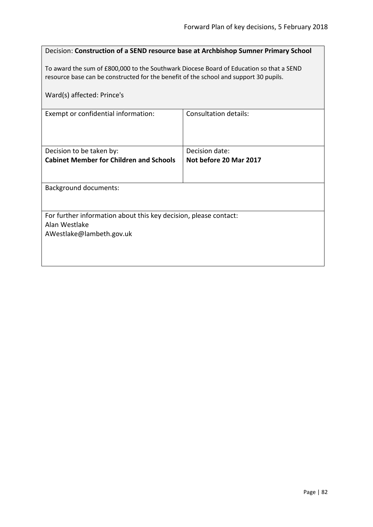| Decision: Construction of a SEND resource base at Archbishop Sumner Primary School                                                                                               |                                          |  |
|----------------------------------------------------------------------------------------------------------------------------------------------------------------------------------|------------------------------------------|--|
| To award the sum of £800,000 to the Southwark Diocese Board of Education so that a SEND<br>resource base can be constructed for the benefit of the school and support 30 pupils. |                                          |  |
| Ward(s) affected: Prince's                                                                                                                                                       |                                          |  |
| Exempt or confidential information:                                                                                                                                              | Consultation details:                    |  |
| Decision to be taken by:<br><b>Cabinet Member for Children and Schools</b>                                                                                                       | Decision date:<br>Not before 20 Mar 2017 |  |
| <b>Background documents:</b>                                                                                                                                                     |                                          |  |
| For further information about this key decision, please contact:<br>Alan Westlake<br>AWestlake@lambeth.gov.uk                                                                    |                                          |  |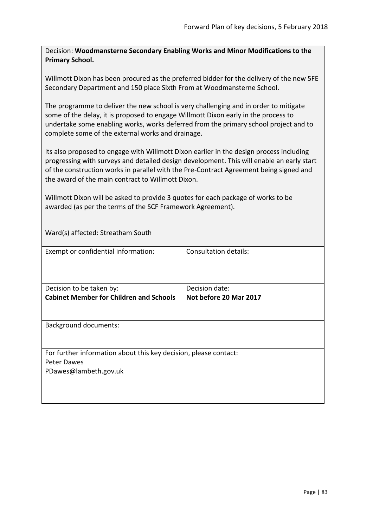Decision: **Woodmansterne Secondary Enabling Works and Minor Modifications to the Primary School.**

Willmott Dixon has been procured as the preferred bidder for the delivery of the new 5FE Secondary Department and 150 place Sixth From at Woodmansterne School.

The programme to deliver the new school is very challenging and in order to mitigate some of the delay, it is proposed to engage Willmott Dixon early in the process to undertake some enabling works, works deferred from the primary school project and to complete some of the external works and drainage.

Its also proposed to engage with Willmott Dixon earlier in the design process including progressing with surveys and detailed design development. This will enable an early start of the construction works in parallel with the Pre-Contract Agreement being signed and the award of the main contract to Willmott Dixon.

Willmott Dixon will be asked to provide 3 quotes for each package of works to be awarded (as per the terms of the SCF Framework Agreement).

Ward(s) affected: Streatham South

| Exempt or confidential information:                                                                      | <b>Consultation details:</b>             |
|----------------------------------------------------------------------------------------------------------|------------------------------------------|
| Decision to be taken by:<br><b>Cabinet Member for Children and Schools</b>                               | Decision date:<br>Not before 20 Mar 2017 |
| <b>Background documents:</b>                                                                             |                                          |
| For further information about this key decision, please contact:<br>Peter Dawes<br>PDawes@lambeth.gov.uk |                                          |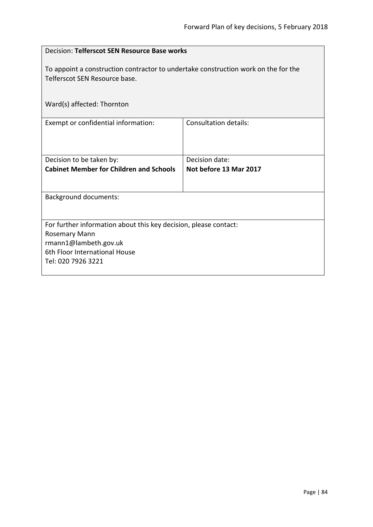| Decision: Telferscot SEN Resource Base works                                                                        |                                          |  |
|---------------------------------------------------------------------------------------------------------------------|------------------------------------------|--|
| To appoint a construction contractor to undertake construction work on the for the<br>Telferscot SEN Resource base. |                                          |  |
| Ward(s) affected: Thornton                                                                                          |                                          |  |
| Exempt or confidential information:                                                                                 | <b>Consultation details:</b>             |  |
| Decision to be taken by:<br><b>Cabinet Member for Children and Schools</b>                                          | Decision date:<br>Not before 13 Mar 2017 |  |
|                                                                                                                     |                                          |  |
| <b>Background documents:</b>                                                                                        |                                          |  |
| For further information about this key decision, please contact:                                                    |                                          |  |
| <b>Rosemary Mann</b><br>rmann1@lambeth.gov.uk                                                                       |                                          |  |
| 6th Floor International House<br>Tel: 020 7926 3221                                                                 |                                          |  |
|                                                                                                                     |                                          |  |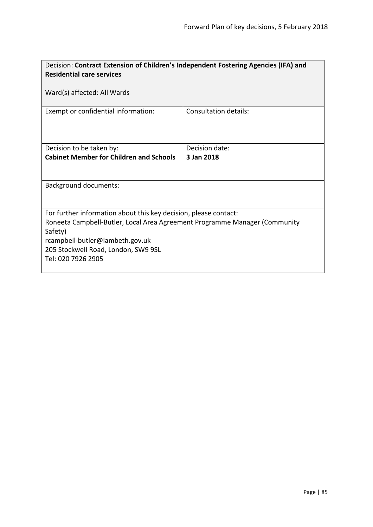| Decision: Contract Extension of Children's Independent Fostering Agencies (IFA) and |                              |  |
|-------------------------------------------------------------------------------------|------------------------------|--|
| <b>Residential care services</b>                                                    |                              |  |
|                                                                                     |                              |  |
| Ward(s) affected: All Wards                                                         |                              |  |
|                                                                                     |                              |  |
| Exempt or confidential information:                                                 | <b>Consultation details:</b> |  |
|                                                                                     |                              |  |
|                                                                                     |                              |  |
| Decision to be taken by:                                                            | Decision date:               |  |
| <b>Cabinet Member for Children and Schools</b>                                      | 3 Jan 2018                   |  |
|                                                                                     |                              |  |
|                                                                                     |                              |  |
| <b>Background documents:</b>                                                        |                              |  |
|                                                                                     |                              |  |
|                                                                                     |                              |  |
| For further information about this key decision, please contact:                    |                              |  |
| Roneeta Campbell-Butler, Local Area Agreement Programme Manager (Community          |                              |  |
| Safety)                                                                             |                              |  |
| rcampbell-butler@lambeth.gov.uk                                                     |                              |  |
| 205 Stockwell Road, London, SW9 9SL                                                 |                              |  |
| Tel: 020 7926 2905                                                                  |                              |  |
|                                                                                     |                              |  |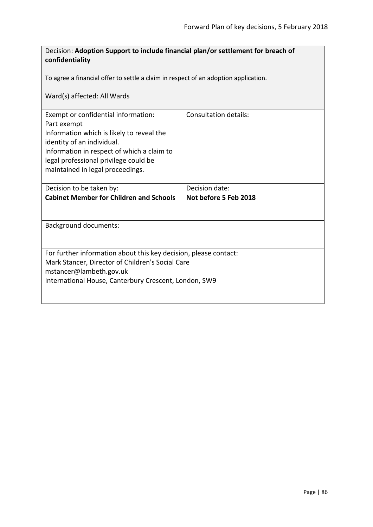| Decision: Adoption Support to include financial plan/or settlement for breach of<br>confidentiality                                                                                                                                                      |                                         |  |
|----------------------------------------------------------------------------------------------------------------------------------------------------------------------------------------------------------------------------------------------------------|-----------------------------------------|--|
| To agree a financial offer to settle a claim in respect of an adoption application.                                                                                                                                                                      |                                         |  |
| Ward(s) affected: All Wards                                                                                                                                                                                                                              |                                         |  |
| Exempt or confidential information:<br>Part exempt<br>Information which is likely to reveal the<br>identity of an individual.<br>Information in respect of which a claim to<br>legal professional privilege could be<br>maintained in legal proceedings. | Consultation details:                   |  |
| Decision to be taken by:<br><b>Cabinet Member for Children and Schools</b>                                                                                                                                                                               | Decision date:<br>Not before 5 Feb 2018 |  |
|                                                                                                                                                                                                                                                          |                                         |  |
| <b>Background documents:</b>                                                                                                                                                                                                                             |                                         |  |
| For further information about this key decision, please contact:<br>Mark Stancer, Director of Children's Social Care<br>mstancer@lambeth.gov.uk<br>International House, Canterbury Crescent, London, SW9                                                 |                                         |  |